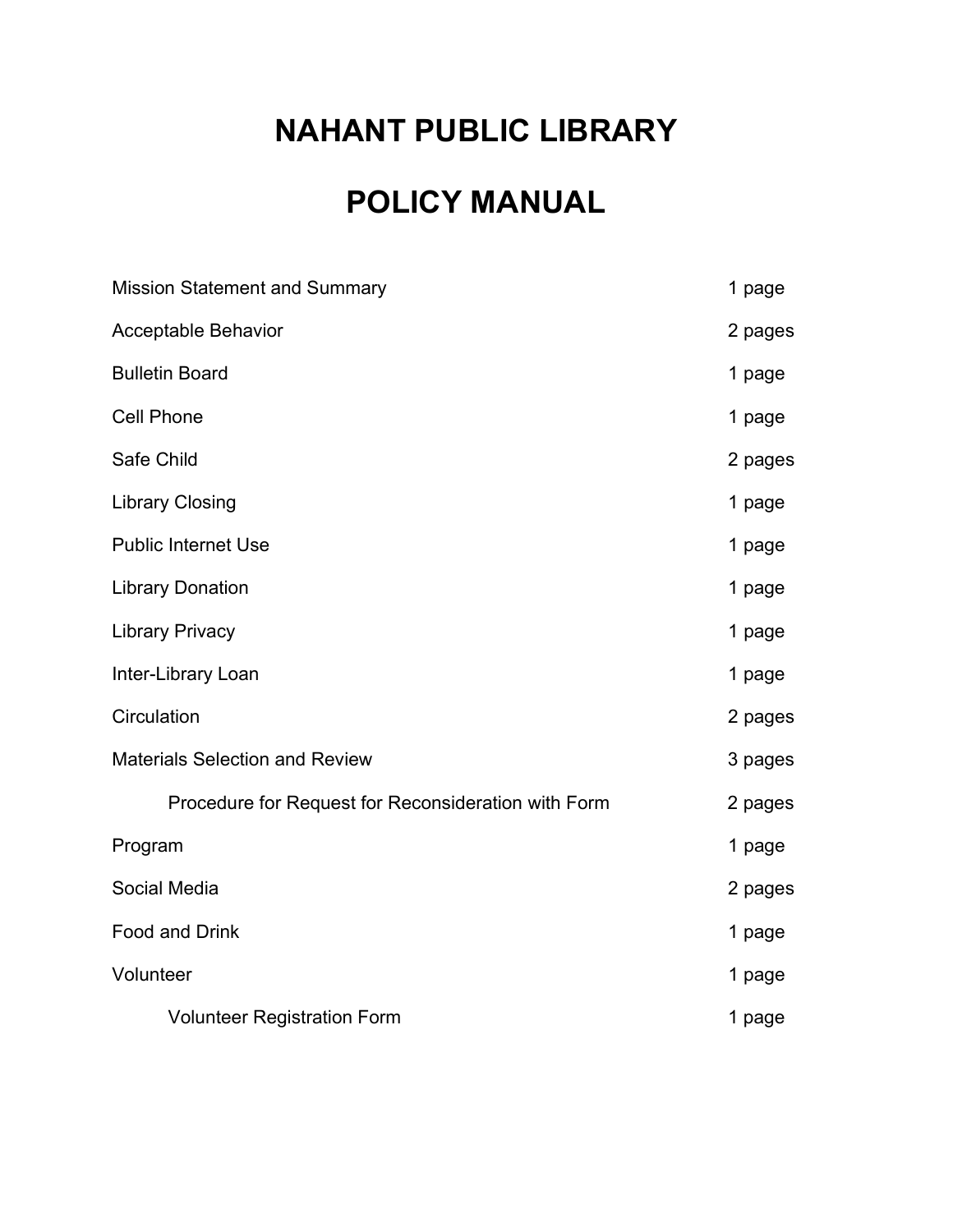# NAHANT PUBLIC LIBRARY

# POLICY MANUAL

| <b>Mission Statement and Summary</b>                | 1 page  |
|-----------------------------------------------------|---------|
| <b>Acceptable Behavior</b>                          | 2 pages |
| <b>Bulletin Board</b>                               | 1 page  |
| <b>Cell Phone</b>                                   | 1 page  |
| Safe Child                                          | 2 pages |
| <b>Library Closing</b>                              | 1 page  |
| <b>Public Internet Use</b>                          | 1 page  |
| <b>Library Donation</b>                             | 1 page  |
| <b>Library Privacy</b>                              | 1 page  |
| Inter-Library Loan                                  | 1 page  |
| Circulation                                         | 2 pages |
| <b>Materials Selection and Review</b>               | 3 pages |
| Procedure for Request for Reconsideration with Form | 2 pages |
| Program                                             | 1 page  |
| Social Media                                        | 2 pages |
| <b>Food and Drink</b>                               | 1 page  |
| Volunteer                                           | 1 page  |
| <b>Volunteer Registration Form</b>                  | 1 page  |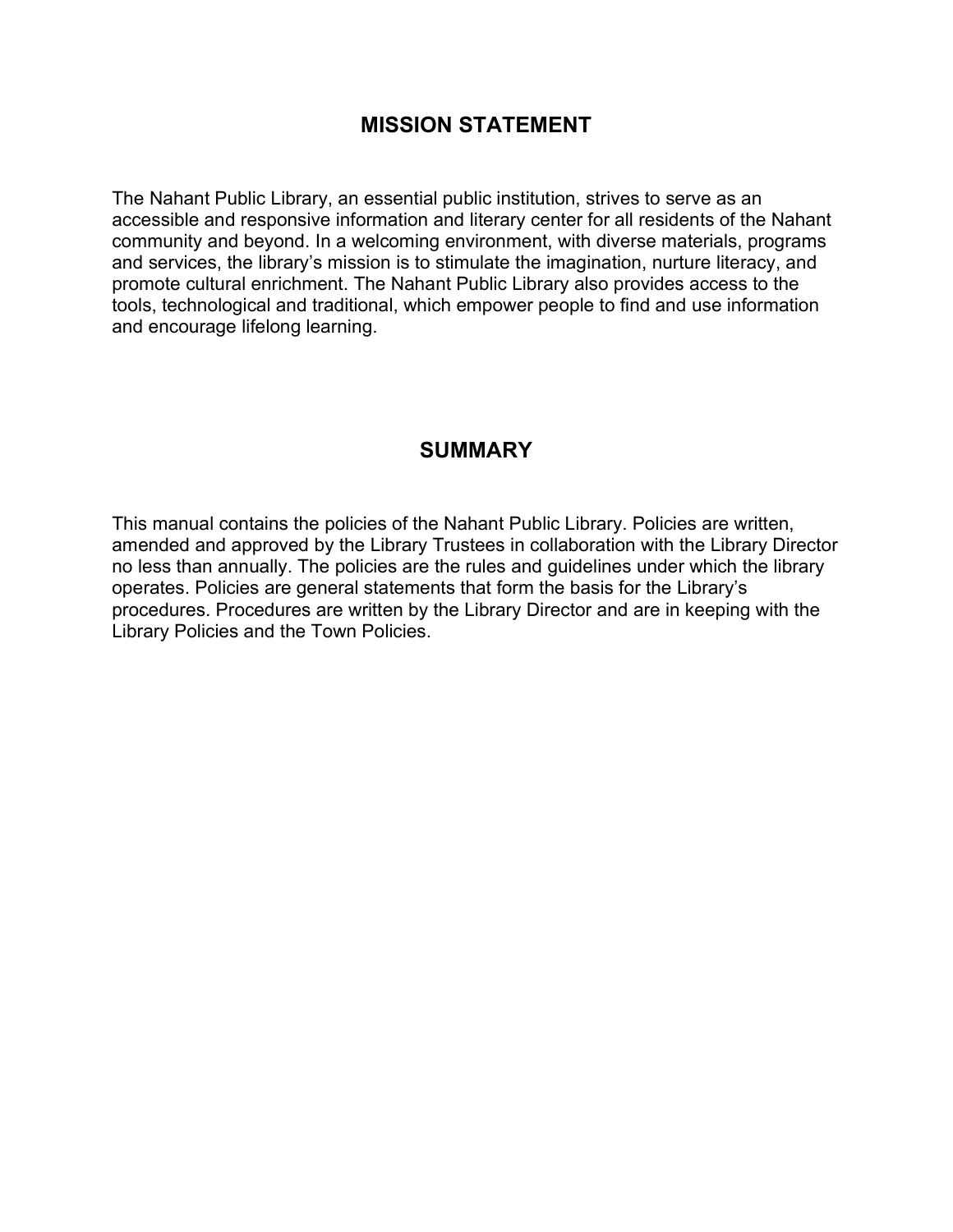#### MISSION STATEMENT

The Nahant Public Library, an essential public institution, strives to serve as an accessible and responsive information and literary center for all residents of the Nahant community and beyond. In a welcoming environment, with diverse materials, programs and services, the library's mission is to stimulate the imagination, nurture literacy, and promote cultural enrichment. The Nahant Public Library also provides access to the tools, technological and traditional, which empower people to find and use information and encourage lifelong learning.

#### **SUMMARY**

This manual contains the policies of the Nahant Public Library. Policies are written, amended and approved by the Library Trustees in collaboration with the Library Director no less than annually. The policies are the rules and guidelines under which the library operates. Policies are general statements that form the basis for the Library's procedures. Procedures are written by the Library Director and are in keeping with the Library Policies and the Town Policies.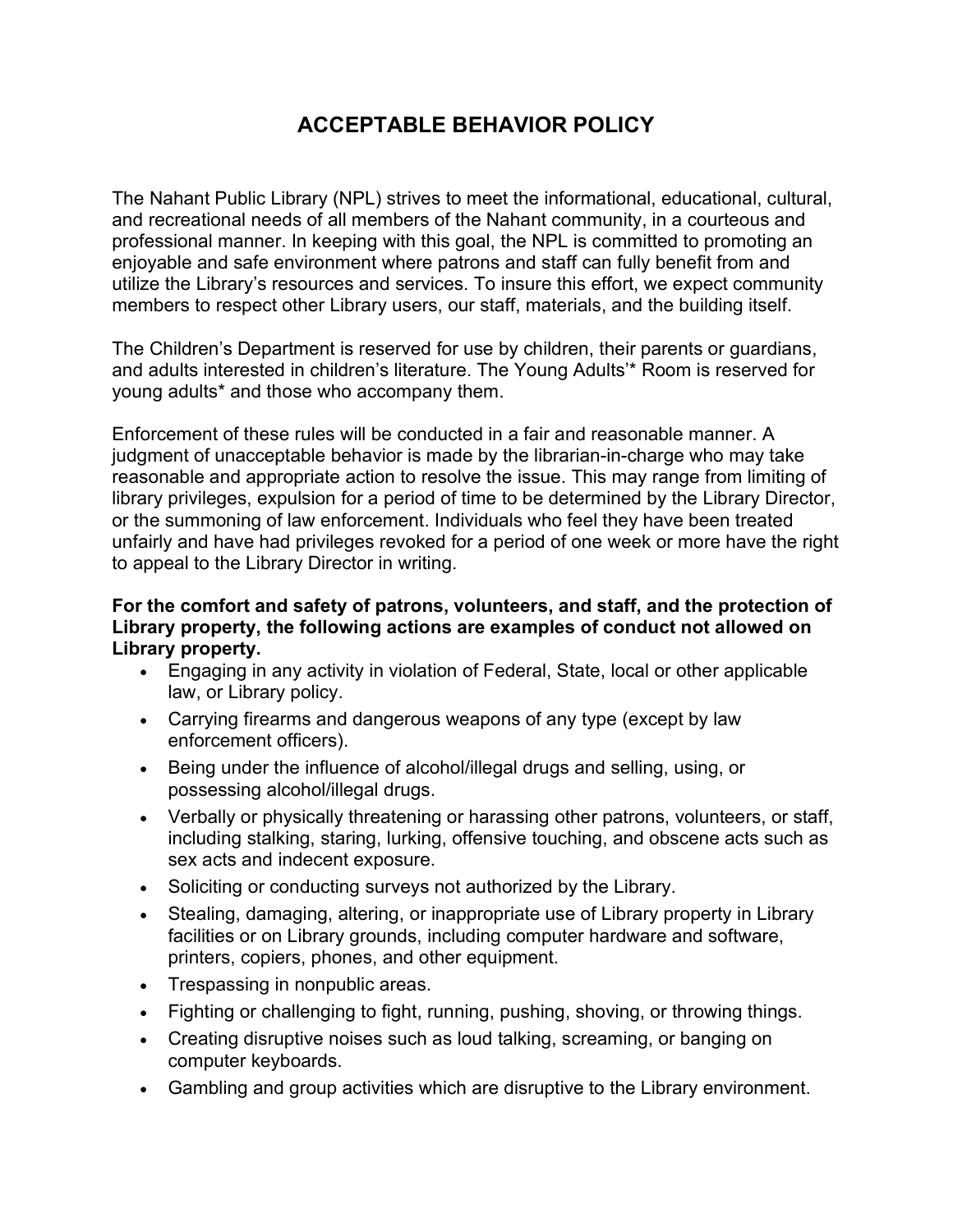# ACCEPTABLE BEHAVIOR POLICY

The Nahant Public Library (NPL) strives to meet the informational, educational, cultural, and recreational needs of all members of the Nahant community, in a courteous and professional manner. In keeping with this goal, the NPL is committed to promoting an enjoyable and safe environment where patrons and staff can fully benefit from and utilize the Library's resources and services. To insure this effort, we expect community members to respect other Library users, our staff, materials, and the building itself.

The Children's Department is reserved for use by children, their parents or guardians, and adults interested in children's literature. The Young Adults'\* Room is reserved for young adults\* and those who accompany them.

Enforcement of these rules will be conducted in a fair and reasonable manner. A judgment of unacceptable behavior is made by the librarian-in-charge who may take reasonable and appropriate action to resolve the issue. This may range from limiting of library privileges, expulsion for a period of time to be determined by the Library Director, or the summoning of law enforcement. Individuals who feel they have been treated unfairly and have had privileges revoked for a period of one week or more have the right to appeal to the Library Director in writing.

#### For the comfort and safety of patrons, volunteers, and staff, and the protection of Library property, the following actions are examples of conduct not allowed on Library property.

- Engaging in any activity in violation of Federal, State, local or other applicable law, or Library policy.
- Carrying firearms and dangerous weapons of any type (except by law enforcement officers).
- Being under the influence of alcohol/illegal drugs and selling, using, or possessing alcohol/illegal drugs.
- Verbally or physically threatening or harassing other patrons, volunteers, or staff, including stalking, staring, lurking, offensive touching, and obscene acts such as sex acts and indecent exposure.
- Soliciting or conducting surveys not authorized by the Library.
- Stealing, damaging, altering, or inappropriate use of Library property in Library facilities or on Library grounds, including computer hardware and software, printers, copiers, phones, and other equipment.
- Trespassing in nonpublic areas.
- Fighting or challenging to fight, running, pushing, shoving, or throwing things.
- Creating disruptive noises such as loud talking, screaming, or banging on computer keyboards.
- Gambling and group activities which are disruptive to the Library environment.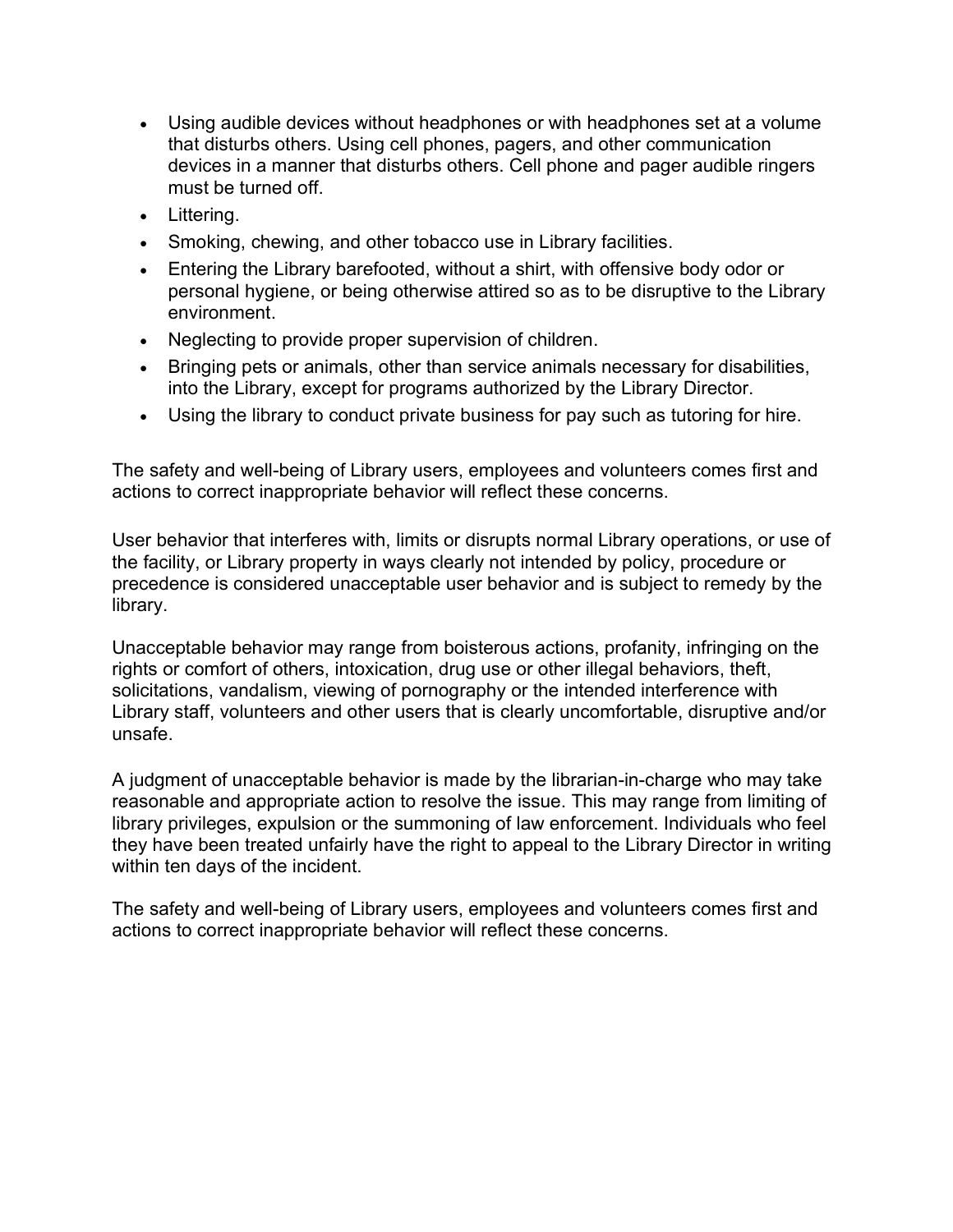- Using audible devices without headphones or with headphones set at a volume that disturbs others. Using cell phones, pagers, and other communication devices in a manner that disturbs others. Cell phone and pager audible ringers must be turned off.
- Littering.
- Smoking, chewing, and other tobacco use in Library facilities.
- Entering the Library barefooted, without a shirt, with offensive body odor or personal hygiene, or being otherwise attired so as to be disruptive to the Library environment.
- Neglecting to provide proper supervision of children.
- Bringing pets or animals, other than service animals necessary for disabilities, into the Library, except for programs authorized by the Library Director.
- Using the library to conduct private business for pay such as tutoring for hire.

The safety and well-being of Library users, employees and volunteers comes first and actions to correct inappropriate behavior will reflect these concerns.

User behavior that interferes with, limits or disrupts normal Library operations, or use of the facility, or Library property in ways clearly not intended by policy, procedure or precedence is considered unacceptable user behavior and is subject to remedy by the library.

Unacceptable behavior may range from boisterous actions, profanity, infringing on the rights or comfort of others, intoxication, drug use or other illegal behaviors, theft, solicitations, vandalism, viewing of pornography or the intended interference with Library staff, volunteers and other users that is clearly uncomfortable, disruptive and/or unsafe.

A judgment of unacceptable behavior is made by the librarian-in-charge who may take reasonable and appropriate action to resolve the issue. This may range from limiting of library privileges, expulsion or the summoning of law enforcement. Individuals who feel they have been treated unfairly have the right to appeal to the Library Director in writing within ten days of the incident.

The safety and well-being of Library users, employees and volunteers comes first and actions to correct inappropriate behavior will reflect these concerns.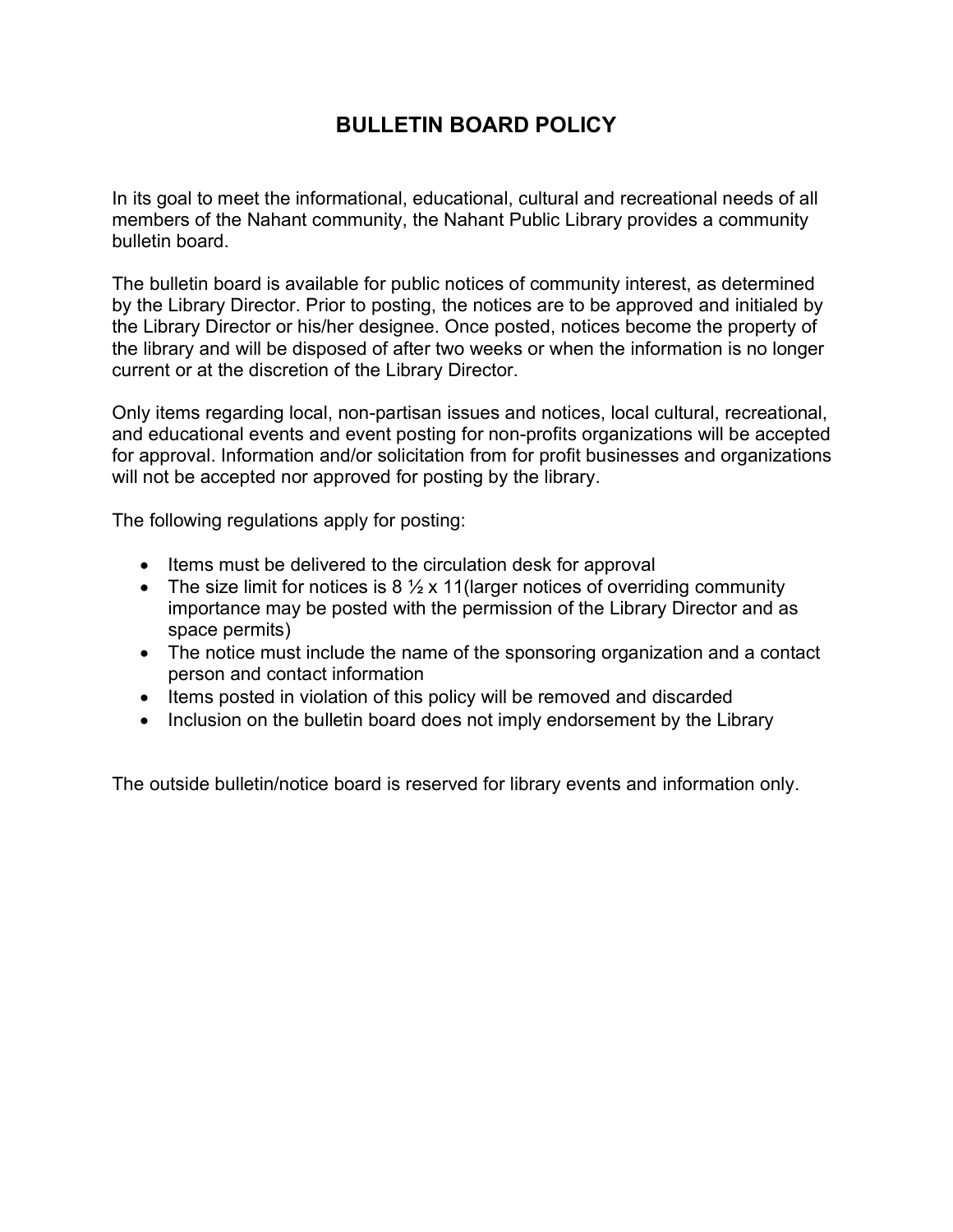# BULLETIN BOARD POLICY

In its goal to meet the informational, educational, cultural and recreational needs of all members of the Nahant community, the Nahant Public Library provides a community bulletin board.

The bulletin board is available for public notices of community interest, as determined by the Library Director. Prior to posting, the notices are to be approved and initialed by the Library Director or his/her designee. Once posted, notices become the property of the library and will be disposed of after two weeks or when the information is no longer current or at the discretion of the Library Director.

Only items regarding local, non-partisan issues and notices, local cultural, recreational, and educational events and event posting for non-profits organizations will be accepted for approval. Information and/or solicitation from for profit businesses and organizations will not be accepted nor approved for posting by the library.

The following regulations apply for posting:

- Items must be delivered to the circulation desk for approval
- The size limit for notices is  $8\frac{1}{2}x$  11 (larger notices of overriding community importance may be posted with the permission of the Library Director and as space permits)
- The notice must include the name of the sponsoring organization and a contact person and contact information
- Items posted in violation of this policy will be removed and discarded
- Inclusion on the bulletin board does not imply endorsement by the Library

The outside bulletin/notice board is reserved for library events and information only.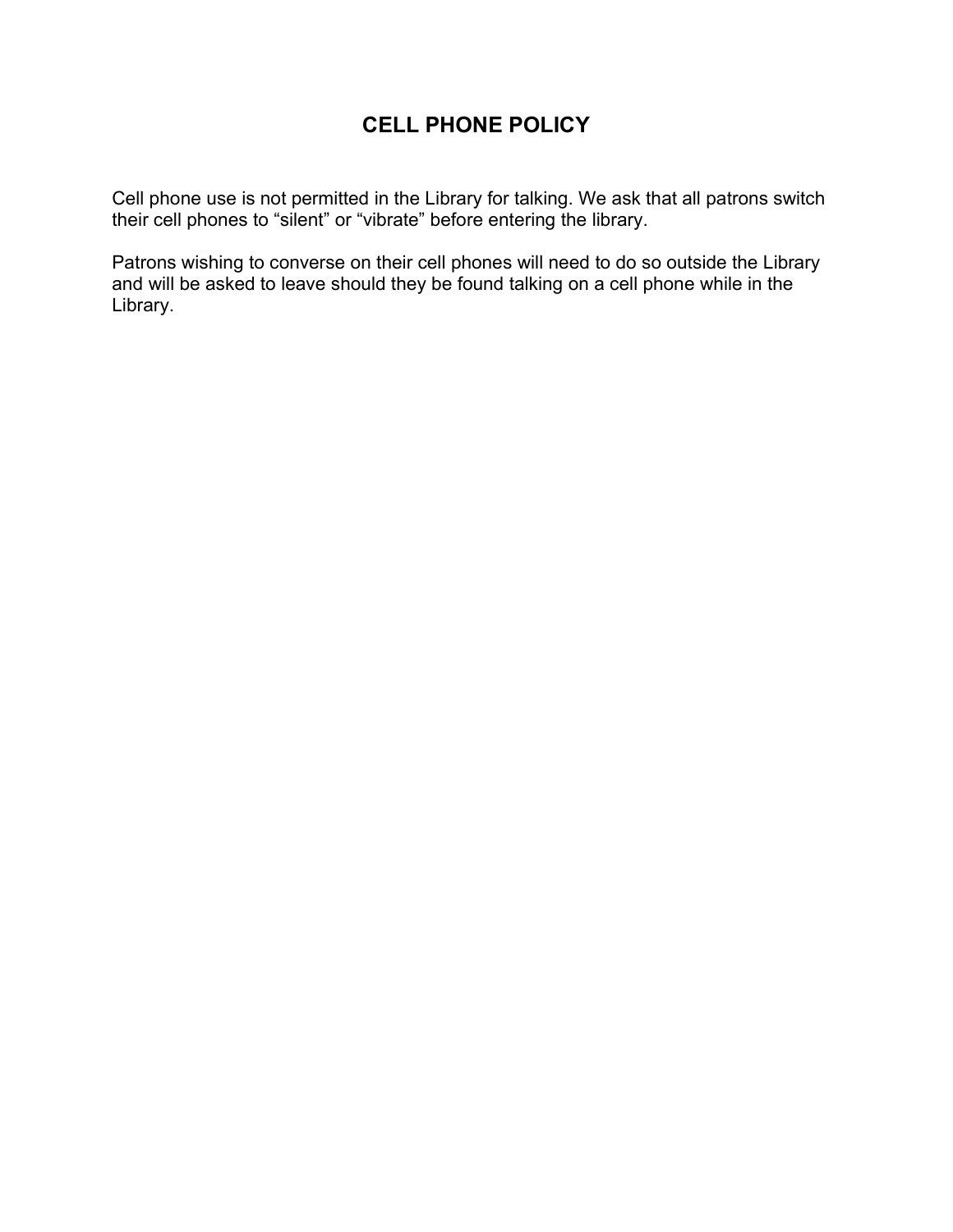# CELL PHONE POLICY

Cell phone use is not permitted in the Library for talking. We ask that all patrons switch their cell phones to "silent" or "vibrate" before entering the library.

Patrons wishing to converse on their cell phones will need to do so outside the Library and will be asked to leave should they be found talking on a cell phone while in the Library.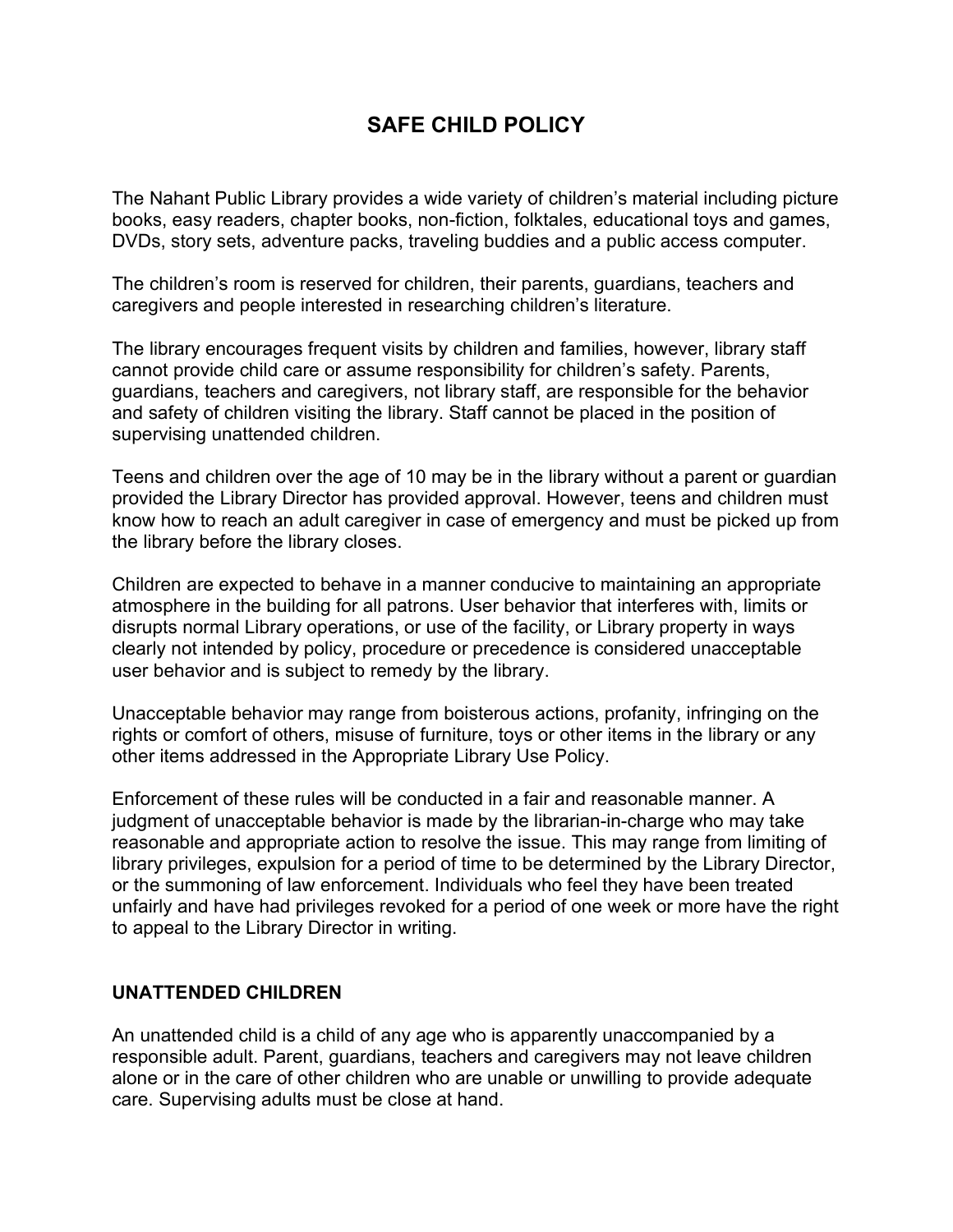### SAFE CHILD POLICY

The Nahant Public Library provides a wide variety of children's material including picture books, easy readers, chapter books, non-fiction, folktales, educational toys and games, DVDs, story sets, adventure packs, traveling buddies and a public access computer.

The children's room is reserved for children, their parents, guardians, teachers and caregivers and people interested in researching children's literature.

The library encourages frequent visits by children and families, however, library staff cannot provide child care or assume responsibility for children's safety. Parents, guardians, teachers and caregivers, not library staff, are responsible for the behavior and safety of children visiting the library. Staff cannot be placed in the position of supervising unattended children.

Teens and children over the age of 10 may be in the library without a parent or guardian provided the Library Director has provided approval. However, teens and children must know how to reach an adult caregiver in case of emergency and must be picked up from the library before the library closes.

Children are expected to behave in a manner conducive to maintaining an appropriate atmosphere in the building for all patrons. User behavior that interferes with, limits or disrupts normal Library operations, or use of the facility, or Library property in ways clearly not intended by policy, procedure or precedence is considered unacceptable user behavior and is subject to remedy by the library.

Unacceptable behavior may range from boisterous actions, profanity, infringing on the rights or comfort of others, misuse of furniture, toys or other items in the library or any other items addressed in the Appropriate Library Use Policy.

Enforcement of these rules will be conducted in a fair and reasonable manner. A judgment of unacceptable behavior is made by the librarian-in-charge who may take reasonable and appropriate action to resolve the issue. This may range from limiting of library privileges, expulsion for a period of time to be determined by the Library Director, or the summoning of law enforcement. Individuals who feel they have been treated unfairly and have had privileges revoked for a period of one week or more have the right to appeal to the Library Director in writing.

#### UNATTENDED CHILDREN

An unattended child is a child of any age who is apparently unaccompanied by a responsible adult. Parent, guardians, teachers and caregivers may not leave children alone or in the care of other children who are unable or unwilling to provide adequate care. Supervising adults must be close at hand.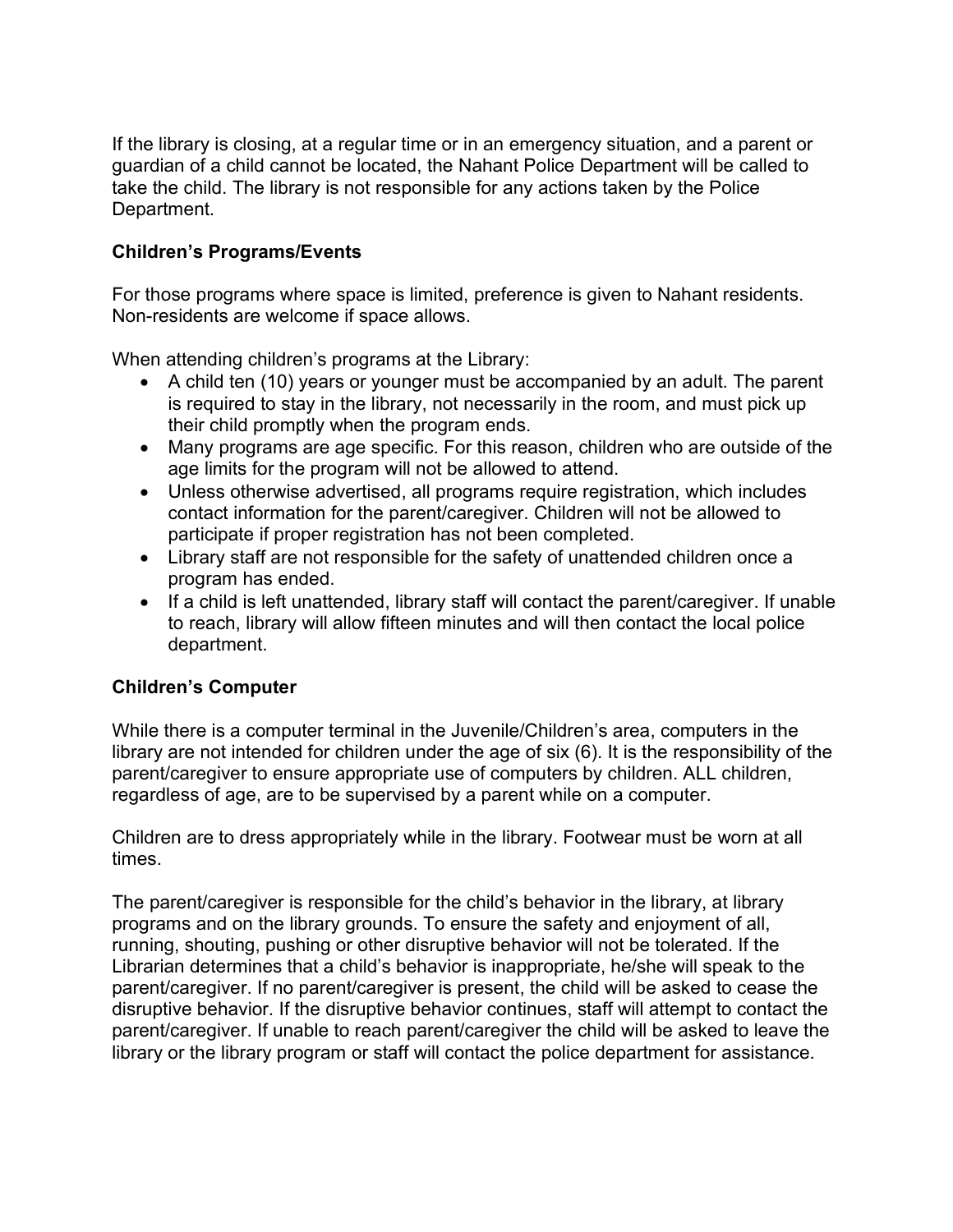If the library is closing, at a regular time or in an emergency situation, and a parent or guardian of a child cannot be located, the Nahant Police Department will be called to take the child. The library is not responsible for any actions taken by the Police Department.

#### Children's Programs/Events

For those programs where space is limited, preference is given to Nahant residents. Non-residents are welcome if space allows.

When attending children's programs at the Library:

- A child ten (10) years or younger must be accompanied by an adult. The parent is required to stay in the library, not necessarily in the room, and must pick up their child promptly when the program ends.
- Many programs are age specific. For this reason, children who are outside of the age limits for the program will not be allowed to attend.
- Unless otherwise advertised, all programs require registration, which includes contact information for the parent/caregiver. Children will not be allowed to participate if proper registration has not been completed.
- Library staff are not responsible for the safety of unattended children once a program has ended.
- If a child is left unattended, library staff will contact the parent/caregiver. If unable to reach, library will allow fifteen minutes and will then contact the local police department.

#### Children's Computer

While there is a computer terminal in the Juvenile/Children's area, computers in the library are not intended for children under the age of six (6). It is the responsibility of the parent/caregiver to ensure appropriate use of computers by children. ALL children, regardless of age, are to be supervised by a parent while on a computer.

Children are to dress appropriately while in the library. Footwear must be worn at all times.

The parent/caregiver is responsible for the child's behavior in the library, at library programs and on the library grounds. To ensure the safety and enjoyment of all, running, shouting, pushing or other disruptive behavior will not be tolerated. If the Librarian determines that a child's behavior is inappropriate, he/she will speak to the parent/caregiver. If no parent/caregiver is present, the child will be asked to cease the disruptive behavior. If the disruptive behavior continues, staff will attempt to contact the parent/caregiver. If unable to reach parent/caregiver the child will be asked to leave the library or the library program or staff will contact the police department for assistance.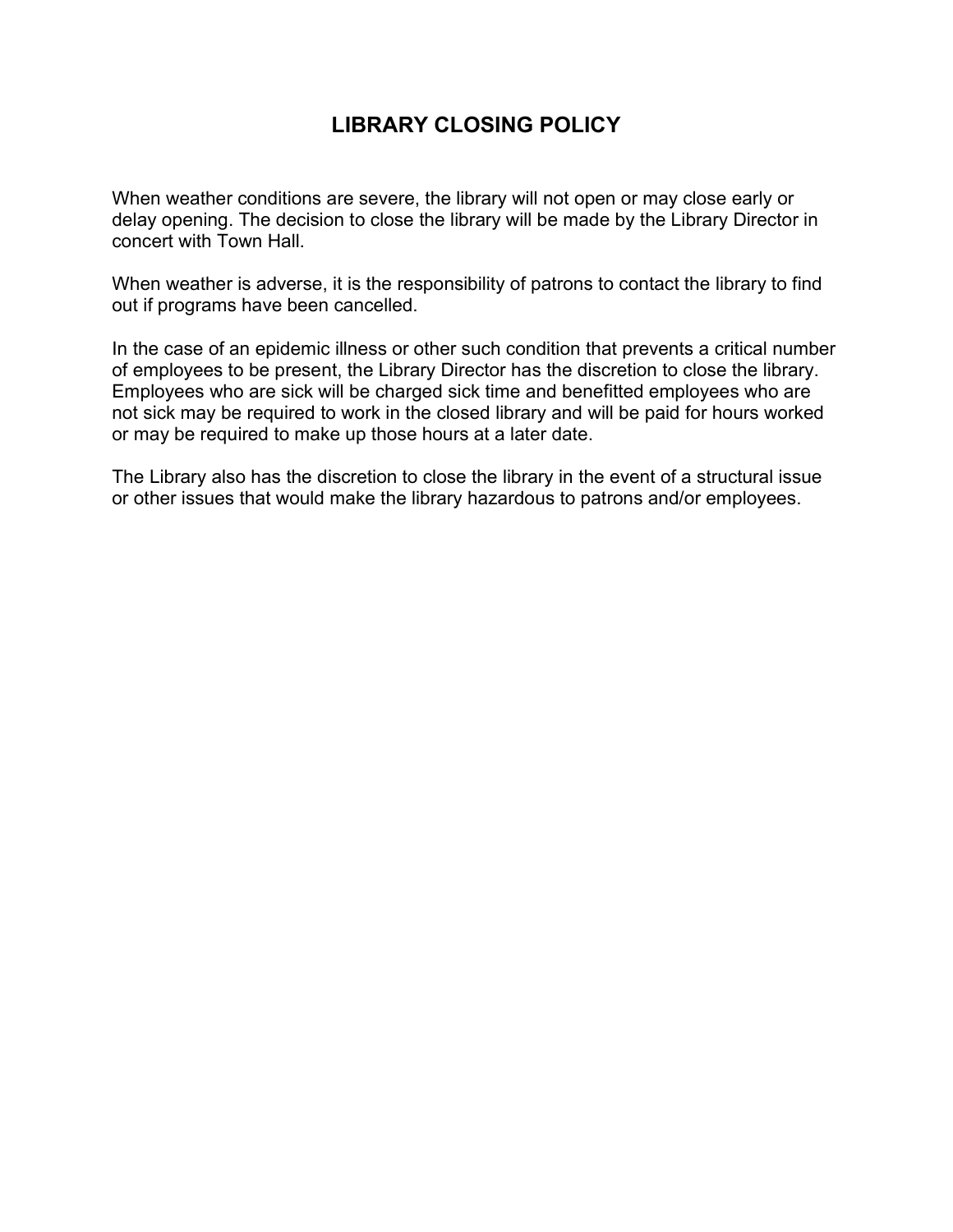### LIBRARY CLOSING POLICY

When weather conditions are severe, the library will not open or may close early or delay opening. The decision to close the library will be made by the Library Director in concert with Town Hall.

When weather is adverse, it is the responsibility of patrons to contact the library to find out if programs have been cancelled.

In the case of an epidemic illness or other such condition that prevents a critical number of employees to be present, the Library Director has the discretion to close the library. Employees who are sick will be charged sick time and benefitted employees who are not sick may be required to work in the closed library and will be paid for hours worked or may be required to make up those hours at a later date.

The Library also has the discretion to close the library in the event of a structural issue or other issues that would make the library hazardous to patrons and/or employees.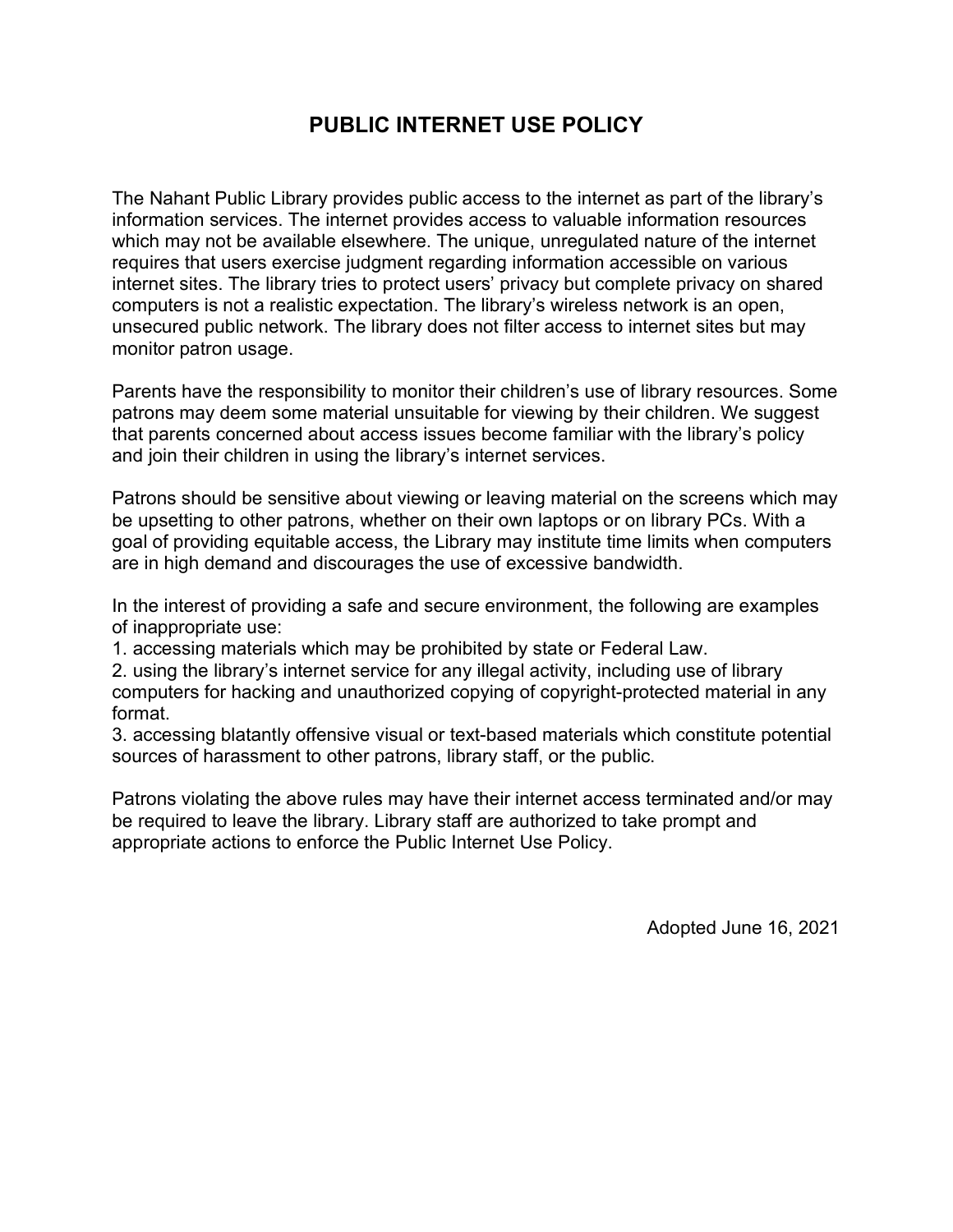### PUBLIC INTERNET USE POLICY

The Nahant Public Library provides public access to the internet as part of the library's information services. The internet provides access to valuable information resources which may not be available elsewhere. The unique, unregulated nature of the internet requires that users exercise judgment regarding information accessible on various internet sites. The library tries to protect users' privacy but complete privacy on shared computers is not a realistic expectation. The library's wireless network is an open, unsecured public network. The library does not filter access to internet sites but may monitor patron usage.

Parents have the responsibility to monitor their children's use of library resources. Some patrons may deem some material unsuitable for viewing by their children. We suggest that parents concerned about access issues become familiar with the library's policy and join their children in using the library's internet services.

Patrons should be sensitive about viewing or leaving material on the screens which may be upsetting to other patrons, whether on their own laptops or on library PCs. With a goal of providing equitable access, the Library may institute time limits when computers are in high demand and discourages the use of excessive bandwidth.

In the interest of providing a safe and secure environment, the following are examples of inappropriate use:

1. accessing materials which may be prohibited by state or Federal Law.

2. using the library's internet service for any illegal activity, including use of library computers for hacking and unauthorized copying of copyright-protected material in any format.

3. accessing blatantly offensive visual or text-based materials which constitute potential sources of harassment to other patrons, library staff, or the public.

Patrons violating the above rules may have their internet access terminated and/or may be required to leave the library. Library staff are authorized to take prompt and appropriate actions to enforce the Public Internet Use Policy.

Adopted June 16, 2021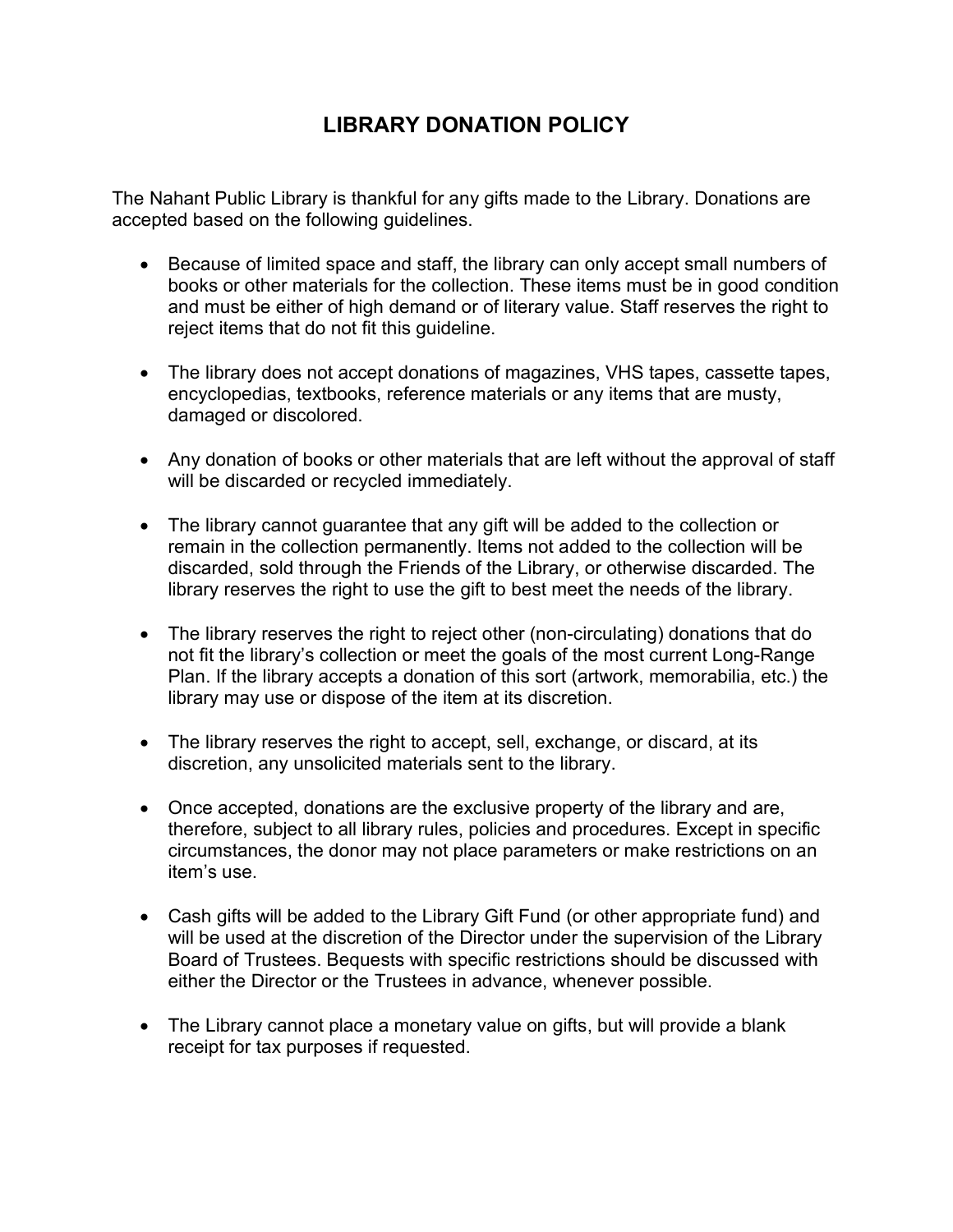# LIBRARY DONATION POLICY

The Nahant Public Library is thankful for any gifts made to the Library. Donations are accepted based on the following guidelines.

- Because of limited space and staff, the library can only accept small numbers of books or other materials for the collection. These items must be in good condition and must be either of high demand or of literary value. Staff reserves the right to reject items that do not fit this guideline.
- The library does not accept donations of magazines, VHS tapes, cassette tapes, encyclopedias, textbooks, reference materials or any items that are musty, damaged or discolored.
- Any donation of books or other materials that are left without the approval of staff will be discarded or recycled immediately.
- The library cannot guarantee that any gift will be added to the collection or remain in the collection permanently. Items not added to the collection will be discarded, sold through the Friends of the Library, or otherwise discarded. The library reserves the right to use the gift to best meet the needs of the library.
- The library reserves the right to reject other (non-circulating) donations that do not fit the library's collection or meet the goals of the most current Long-Range Plan. If the library accepts a donation of this sort (artwork, memorabilia, etc.) the library may use or dispose of the item at its discretion.
- The library reserves the right to accept, sell, exchange, or discard, at its discretion, any unsolicited materials sent to the library.
- Once accepted, donations are the exclusive property of the library and are, therefore, subject to all library rules, policies and procedures. Except in specific circumstances, the donor may not place parameters or make restrictions on an item's use.
- Cash gifts will be added to the Library Gift Fund (or other appropriate fund) and will be used at the discretion of the Director under the supervision of the Library Board of Trustees. Bequests with specific restrictions should be discussed with either the Director or the Trustees in advance, whenever possible.
- The Library cannot place a monetary value on gifts, but will provide a blank receipt for tax purposes if requested.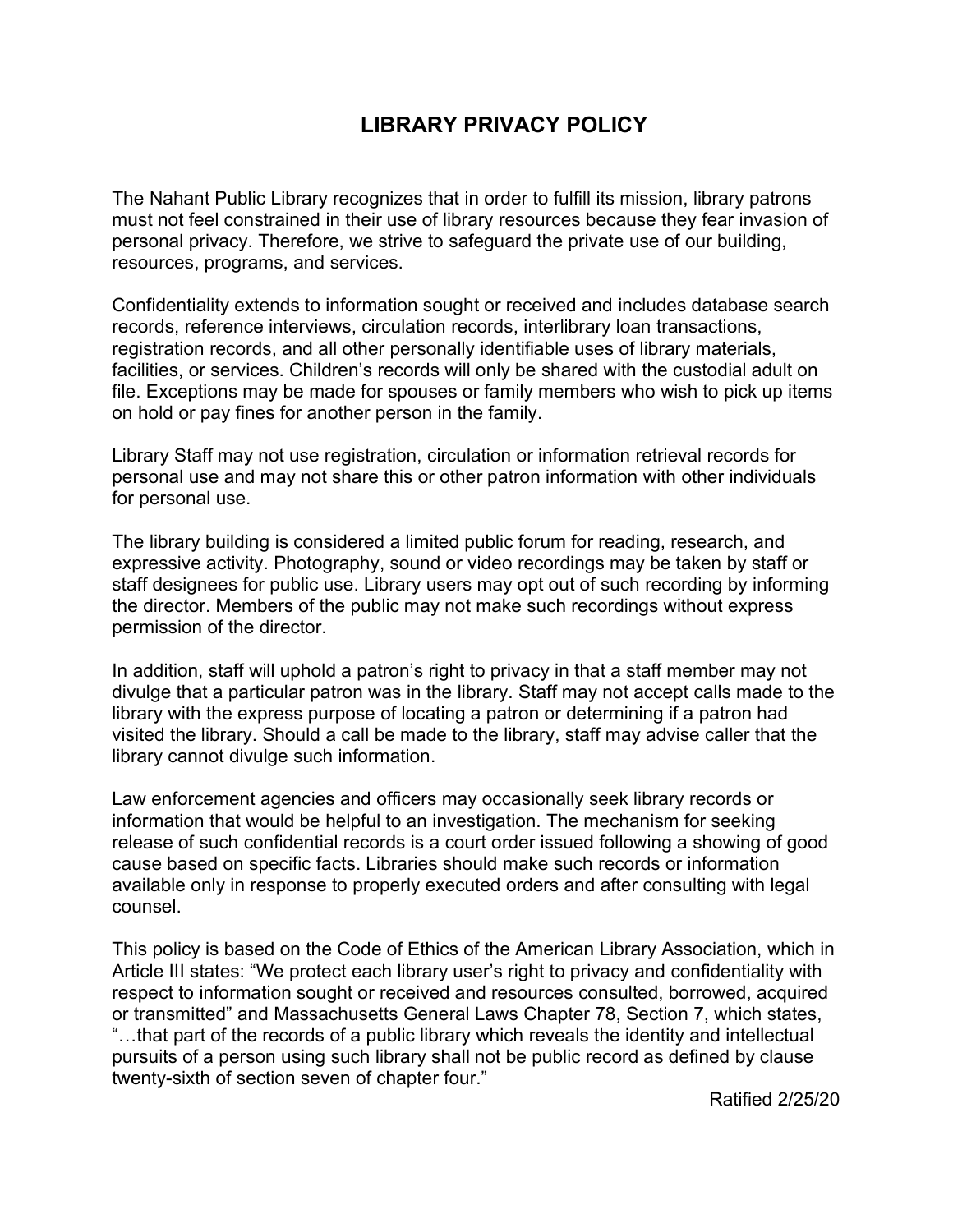## LIBRARY PRIVACY POLICY

The Nahant Public Library recognizes that in order to fulfill its mission, library patrons must not feel constrained in their use of library resources because they fear invasion of personal privacy. Therefore, we strive to safeguard the private use of our building, resources, programs, and services.

Confidentiality extends to information sought or received and includes database search records, reference interviews, circulation records, interlibrary loan transactions, registration records, and all other personally identifiable uses of library materials, facilities, or services. Children's records will only be shared with the custodial adult on file. Exceptions may be made for spouses or family members who wish to pick up items on hold or pay fines for another person in the family.

Library Staff may not use registration, circulation or information retrieval records for personal use and may not share this or other patron information with other individuals for personal use.

The library building is considered a limited public forum for reading, research, and expressive activity. Photography, sound or video recordings may be taken by staff or staff designees for public use. Library users may opt out of such recording by informing the director. Members of the public may not make such recordings without express permission of the director.

In addition, staff will uphold a patron's right to privacy in that a staff member may not divulge that a particular patron was in the library. Staff may not accept calls made to the library with the express purpose of locating a patron or determining if a patron had visited the library. Should a call be made to the library, staff may advise caller that the library cannot divulge such information.

Law enforcement agencies and officers may occasionally seek library records or information that would be helpful to an investigation. The mechanism for seeking release of such confidential records is a court order issued following a showing of good cause based on specific facts. Libraries should make such records or information available only in response to properly executed orders and after consulting with legal counsel.

This policy is based on the Code of Ethics of the American Library Association, which in Article III states: "We protect each library user's right to privacy and confidentiality with respect to information sought or received and resources consulted, borrowed, acquired or transmitted" and Massachusetts General Laws Chapter 78, Section 7, which states, "…that part of the records of a public library which reveals the identity and intellectual pursuits of a person using such library shall not be public record as defined by clause twenty-sixth of section seven of chapter four."

Ratified 2/25/20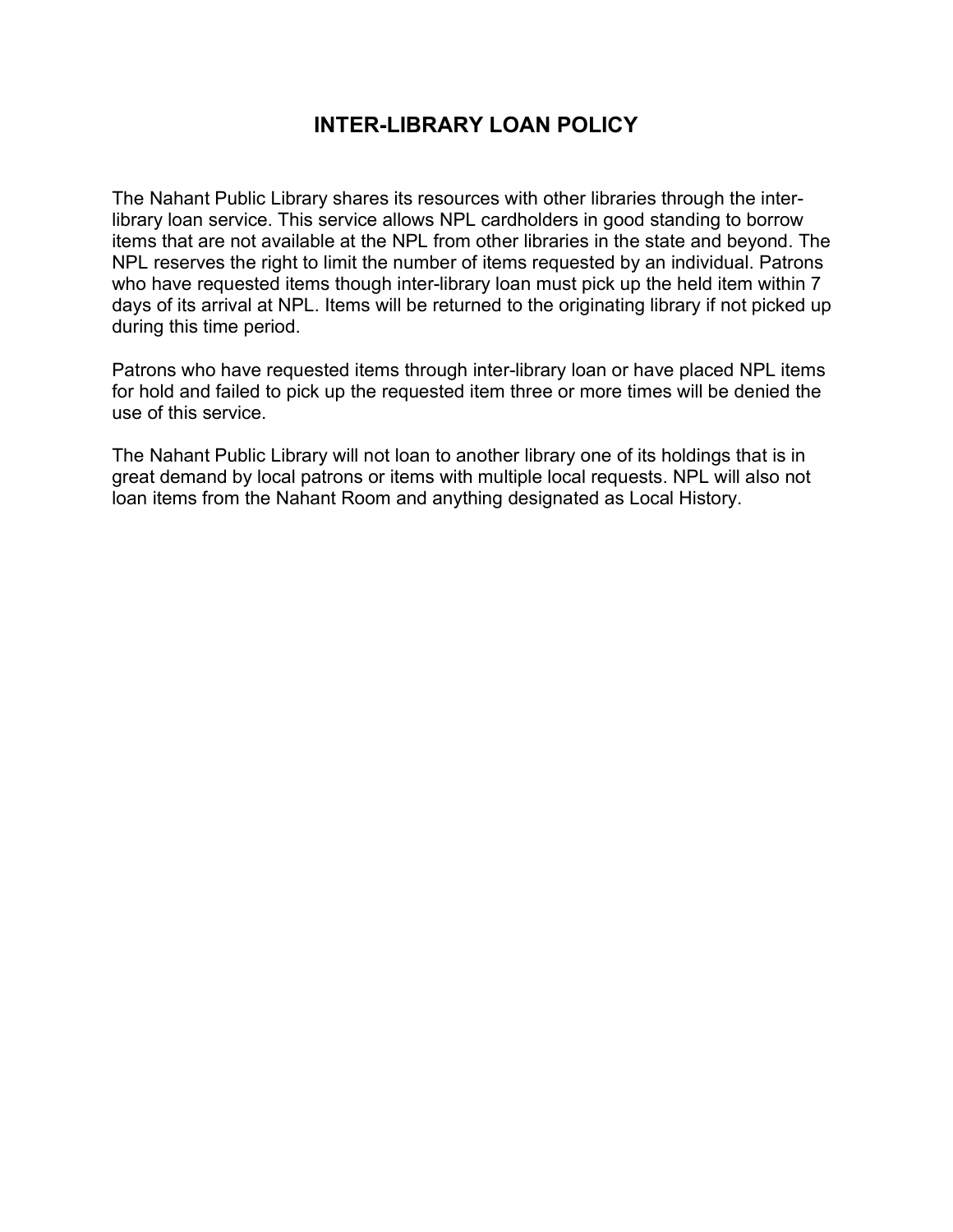### INTER-LIBRARY LOAN POLICY

The Nahant Public Library shares its resources with other libraries through the interlibrary loan service. This service allows NPL cardholders in good standing to borrow items that are not available at the NPL from other libraries in the state and beyond. The NPL reserves the right to limit the number of items requested by an individual. Patrons who have requested items though inter-library loan must pick up the held item within 7 days of its arrival at NPL. Items will be returned to the originating library if not picked up during this time period.

Patrons who have requested items through inter-library loan or have placed NPL items for hold and failed to pick up the requested item three or more times will be denied the use of this service.

The Nahant Public Library will not loan to another library one of its holdings that is in great demand by local patrons or items with multiple local requests. NPL will also not loan items from the Nahant Room and anything designated as Local History.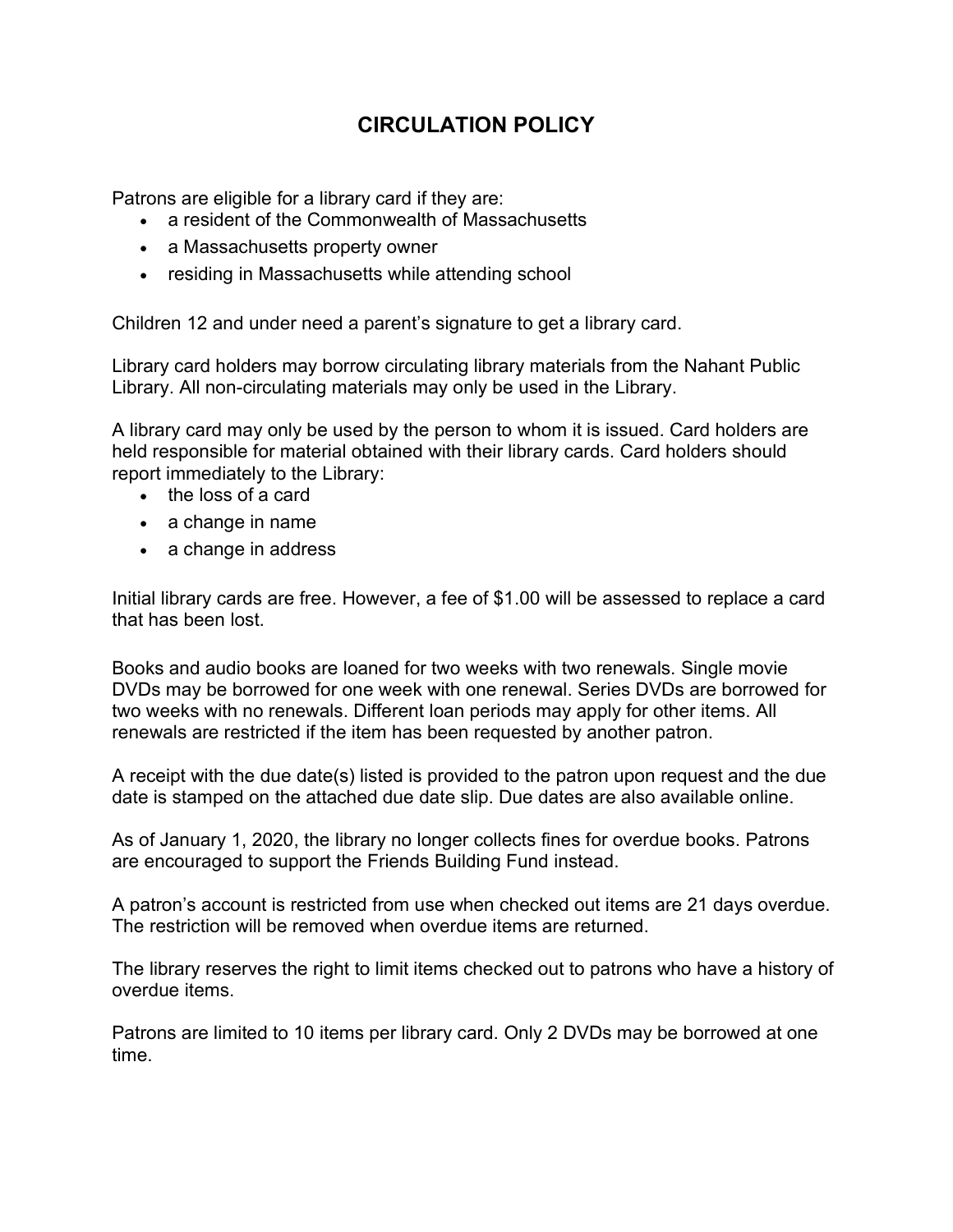# CIRCULATION POLICY

Patrons are eligible for a library card if they are:

- a resident of the Commonwealth of Massachusetts
- a Massachusetts property owner
- residing in Massachusetts while attending school

Children 12 and under need a parent's signature to get a library card.

Library card holders may borrow circulating library materials from the Nahant Public Library. All non-circulating materials may only be used in the Library.

A library card may only be used by the person to whom it is issued. Card holders are held responsible for material obtained with their library cards. Card holders should report immediately to the Library:

- the loss of a card
- a change in name
- a change in address

Initial library cards are free. However, a fee of \$1.00 will be assessed to replace a card that has been lost.

Books and audio books are loaned for two weeks with two renewals. Single movie DVDs may be borrowed for one week with one renewal. Series DVDs are borrowed for two weeks with no renewals. Different loan periods may apply for other items. All renewals are restricted if the item has been requested by another patron.

A receipt with the due date(s) listed is provided to the patron upon request and the due date is stamped on the attached due date slip. Due dates are also available online.

As of January 1, 2020, the library no longer collects fines for overdue books. Patrons are encouraged to support the Friends Building Fund instead.

A patron's account is restricted from use when checked out items are 21 days overdue. The restriction will be removed when overdue items are returned.

The library reserves the right to limit items checked out to patrons who have a history of overdue items.

Patrons are limited to 10 items per library card. Only 2 DVDs may be borrowed at one time.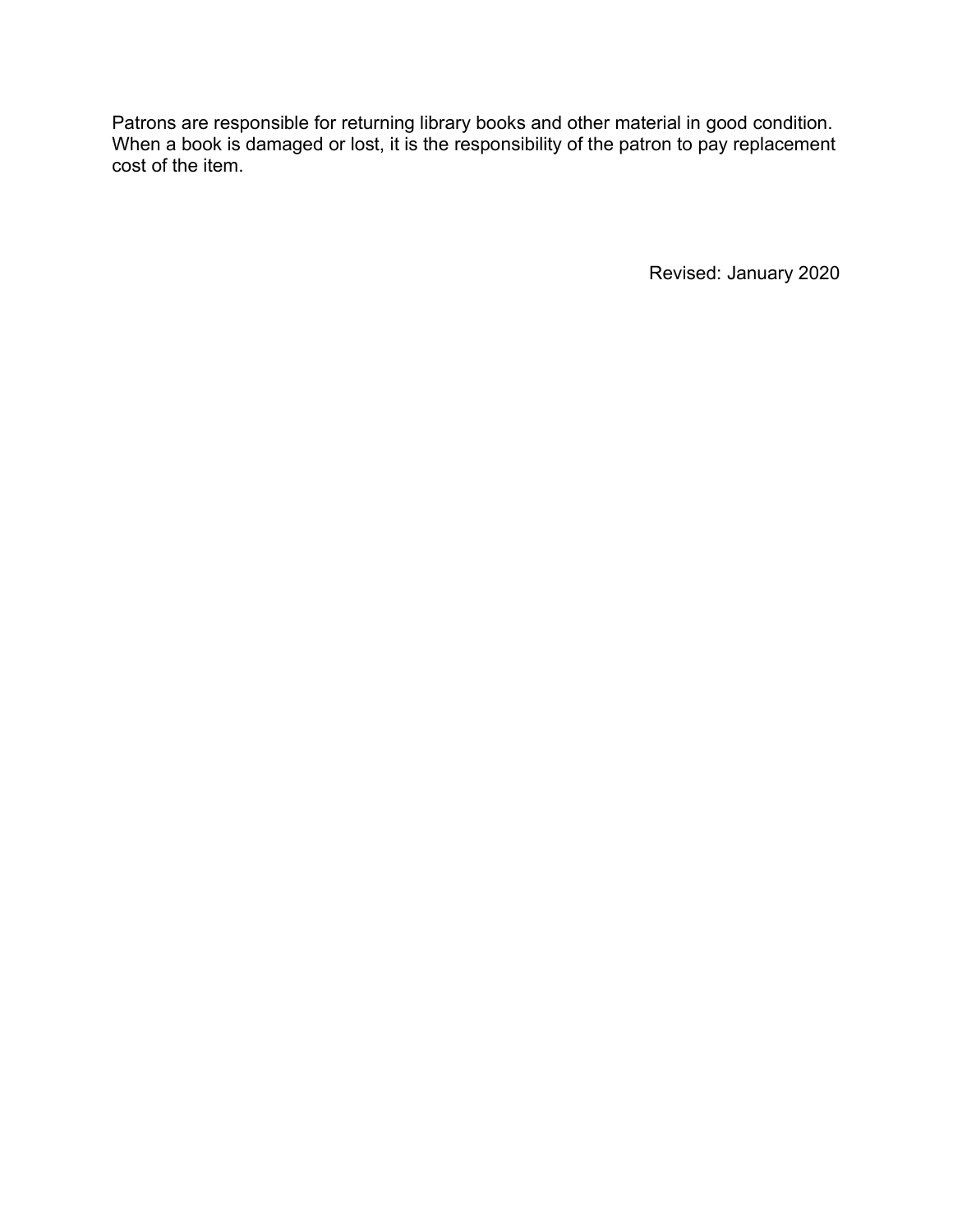Patrons are responsible for returning library books and other material in good condition. When a book is damaged or lost, it is the responsibility of the patron to pay replacement cost of the item.

Revised: January 2020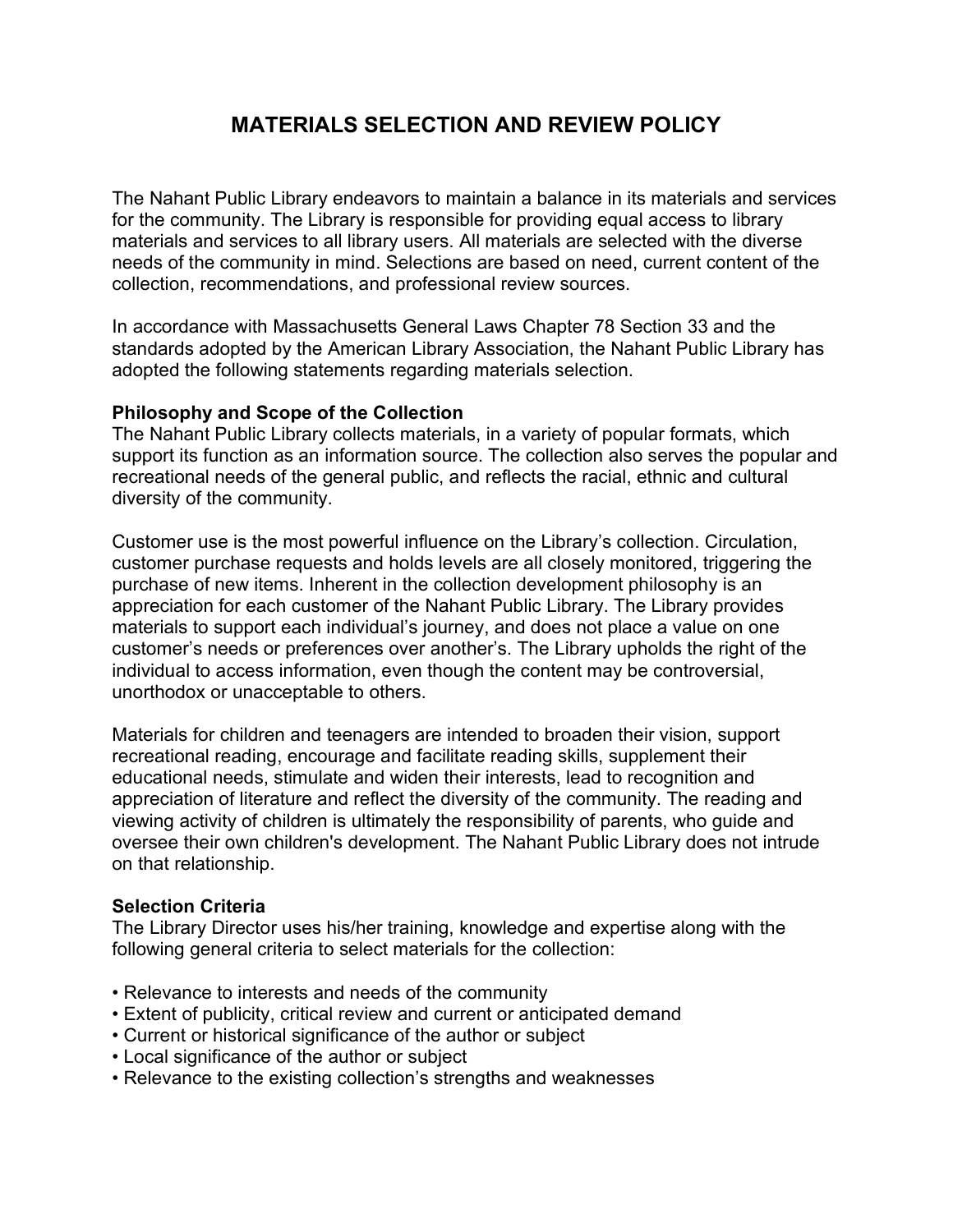# MATERIALS SELECTION AND REVIEW POLICY

The Nahant Public Library endeavors to maintain a balance in its materials and services for the community. The Library is responsible for providing equal access to library materials and services to all library users. All materials are selected with the diverse needs of the community in mind. Selections are based on need, current content of the collection, recommendations, and professional review sources.

In accordance with Massachusetts General Laws Chapter 78 Section 33 and the standards adopted by the American Library Association, the Nahant Public Library has adopted the following statements regarding materials selection.

#### Philosophy and Scope of the Collection

The Nahant Public Library collects materials, in a variety of popular formats, which support its function as an information source. The collection also serves the popular and recreational needs of the general public, and reflects the racial, ethnic and cultural diversity of the community.

Customer use is the most powerful influence on the Library's collection. Circulation, customer purchase requests and holds levels are all closely monitored, triggering the purchase of new items. Inherent in the collection development philosophy is an appreciation for each customer of the Nahant Public Library. The Library provides materials to support each individual's journey, and does not place a value on one customer's needs or preferences over another's. The Library upholds the right of the individual to access information, even though the content may be controversial, unorthodox or unacceptable to others.

Materials for children and teenagers are intended to broaden their vision, support recreational reading, encourage and facilitate reading skills, supplement their educational needs, stimulate and widen their interests, lead to recognition and appreciation of literature and reflect the diversity of the community. The reading and viewing activity of children is ultimately the responsibility of parents, who guide and oversee their own children's development. The Nahant Public Library does not intrude on that relationship.

#### Selection Criteria

The Library Director uses his/her training, knowledge and expertise along with the following general criteria to select materials for the collection:

- Relevance to interests and needs of the community
- Extent of publicity, critical review and current or anticipated demand
- Current or historical significance of the author or subject
- Local significance of the author or subject
- Relevance to the existing collection's strengths and weaknesses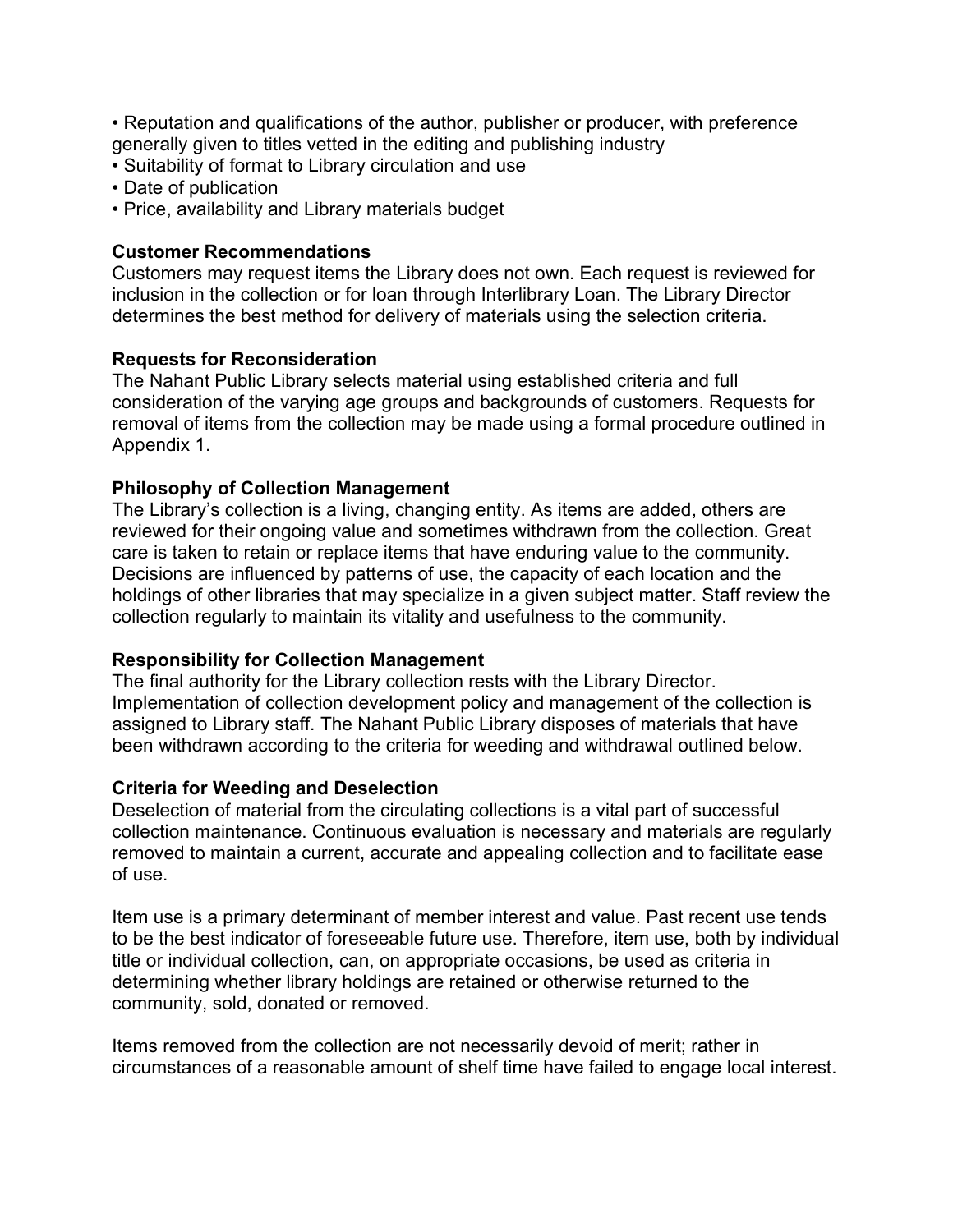• Reputation and qualifications of the author, publisher or producer, with preference generally given to titles vetted in the editing and publishing industry

- Suitability of format to Library circulation and use
- Date of publication
- Price, availability and Library materials budget

#### Customer Recommendations

Customers may request items the Library does not own. Each request is reviewed for inclusion in the collection or for loan through Interlibrary Loan. The Library Director determines the best method for delivery of materials using the selection criteria.

#### Requests for Reconsideration

The Nahant Public Library selects material using established criteria and full consideration of the varying age groups and backgrounds of customers. Requests for removal of items from the collection may be made using a formal procedure outlined in Appendix 1.

#### Philosophy of Collection Management

The Library's collection is a living, changing entity. As items are added, others are reviewed for their ongoing value and sometimes withdrawn from the collection. Great care is taken to retain or replace items that have enduring value to the community. Decisions are influenced by patterns of use, the capacity of each location and the holdings of other libraries that may specialize in a given subject matter. Staff review the collection regularly to maintain its vitality and usefulness to the community.

#### Responsibility for Collection Management

The final authority for the Library collection rests with the Library Director. Implementation of collection development policy and management of the collection is assigned to Library staff. The Nahant Public Library disposes of materials that have been withdrawn according to the criteria for weeding and withdrawal outlined below.

#### Criteria for Weeding and Deselection

Deselection of material from the circulating collections is a vital part of successful collection maintenance. Continuous evaluation is necessary and materials are regularly removed to maintain a current, accurate and appealing collection and to facilitate ease of use.

Item use is a primary determinant of member interest and value. Past recent use tends to be the best indicator of foreseeable future use. Therefore, item use, both by individual title or individual collection, can, on appropriate occasions, be used as criteria in determining whether library holdings are retained or otherwise returned to the community, sold, donated or removed.

Items removed from the collection are not necessarily devoid of merit; rather in circumstances of a reasonable amount of shelf time have failed to engage local interest.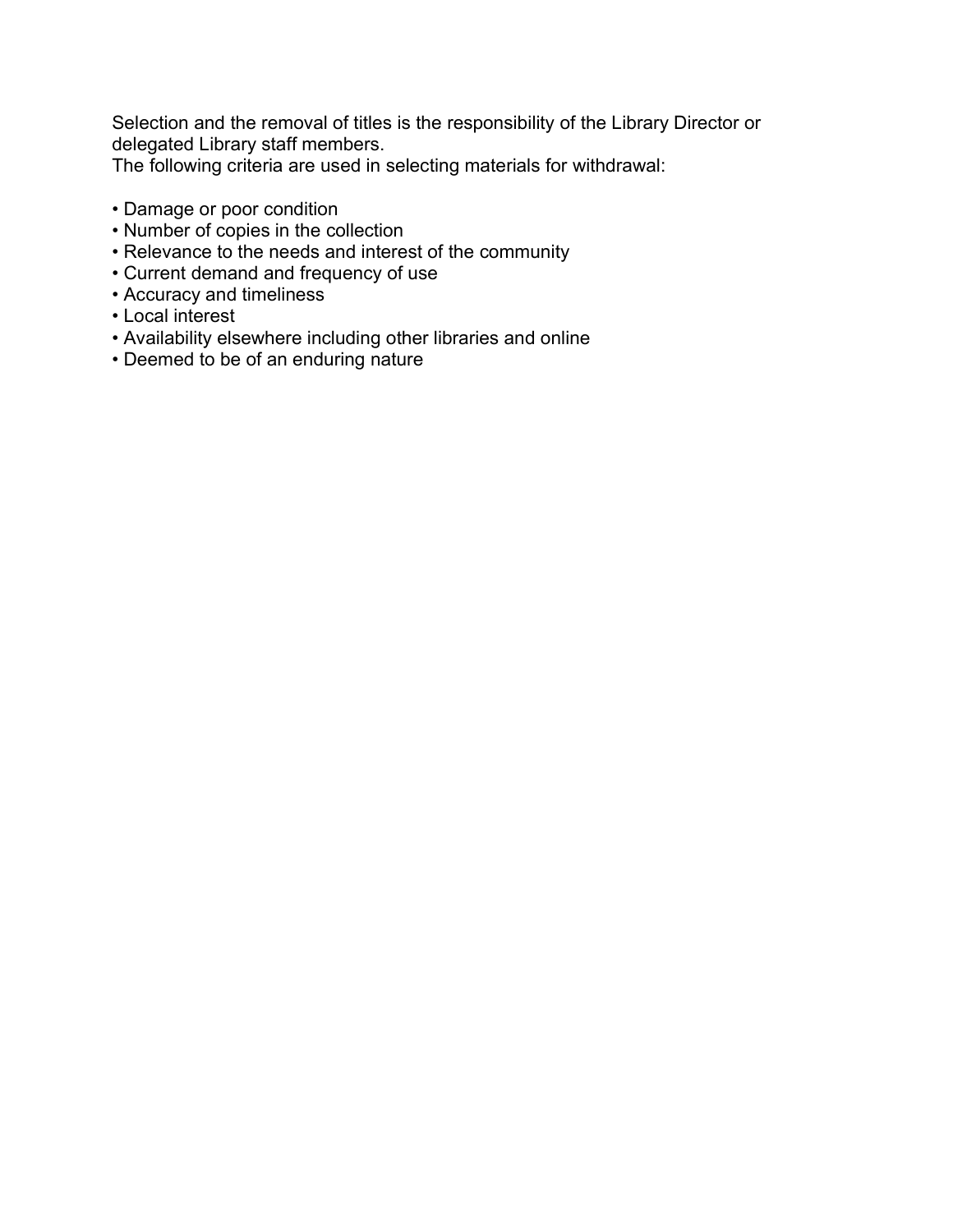Selection and the removal of titles is the responsibility of the Library Director or delegated Library staff members.

The following criteria are used in selecting materials for withdrawal:

- Damage or poor condition
- Number of copies in the collection
- Relevance to the needs and interest of the community
- Current demand and frequency of use
- Accuracy and timeliness
- Local interest
- Availability elsewhere including other libraries and online
- Deemed to be of an enduring nature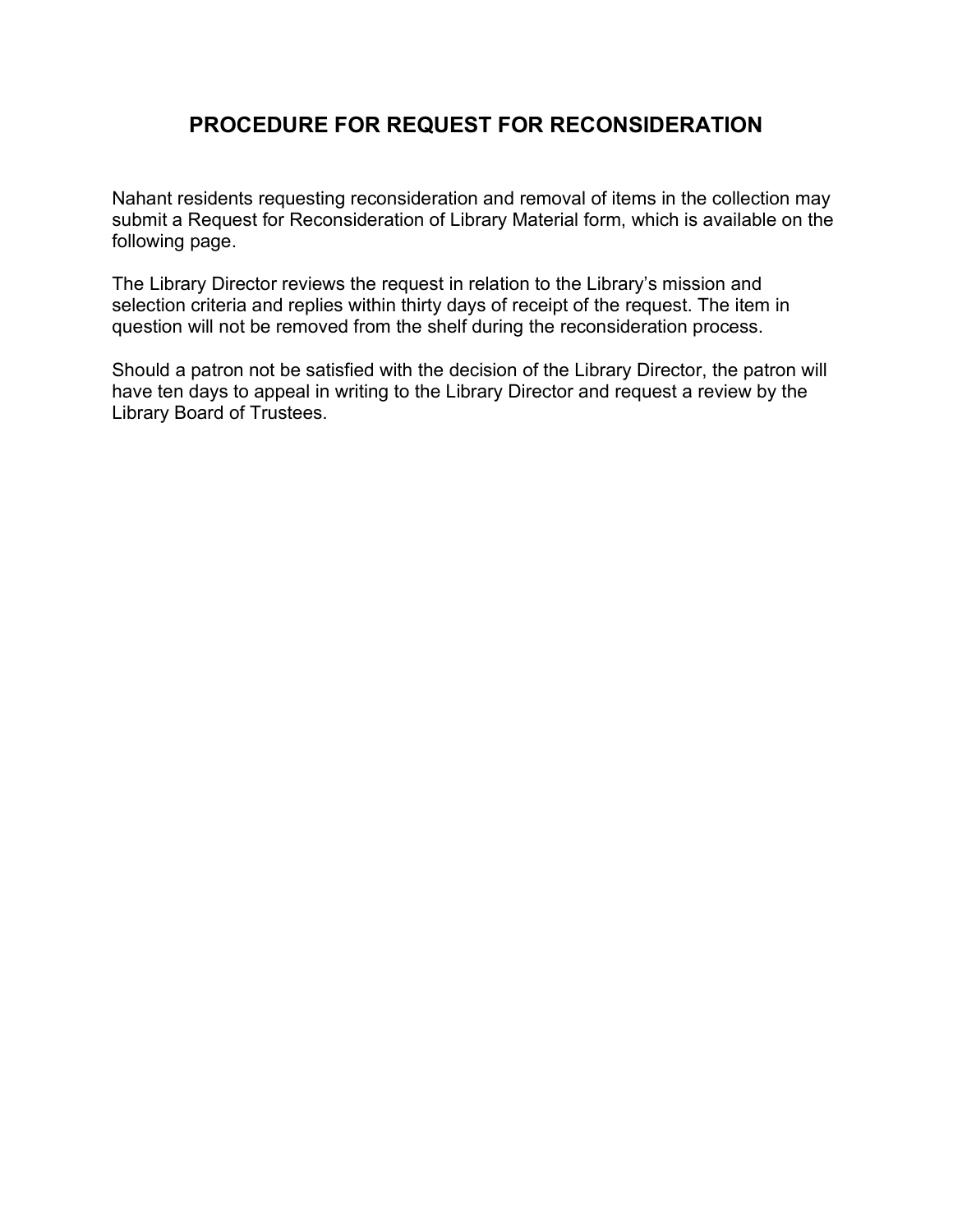### PROCEDURE FOR REQUEST FOR RECONSIDERATION

Nahant residents requesting reconsideration and removal of items in the collection may submit a Request for Reconsideration of Library Material form, which is available on the following page.

The Library Director reviews the request in relation to the Library's mission and selection criteria and replies within thirty days of receipt of the request. The item in question will not be removed from the shelf during the reconsideration process.

Should a patron not be satisfied with the decision of the Library Director, the patron will have ten days to appeal in writing to the Library Director and request a review by the Library Board of Trustees.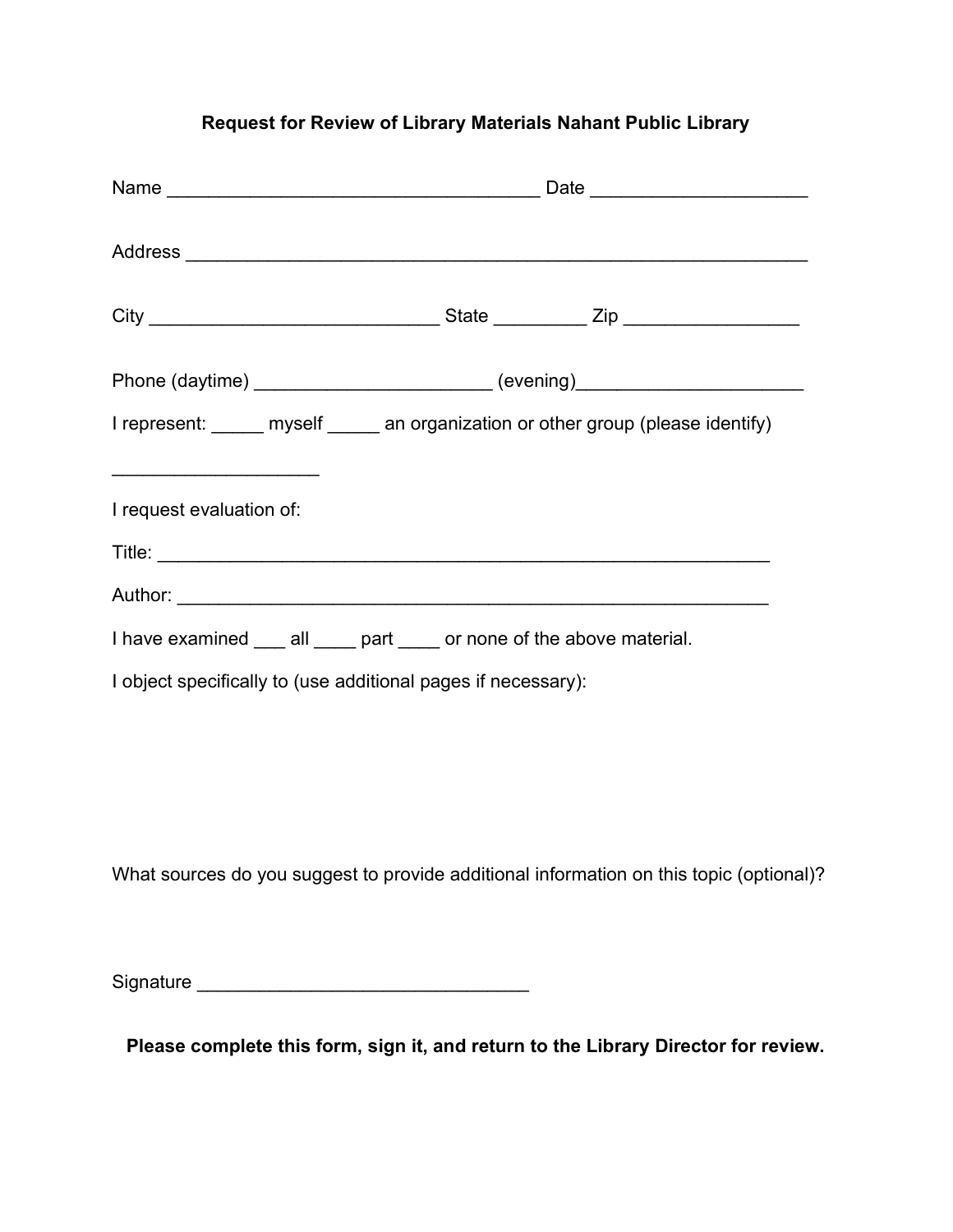#### Request for Review of Library Materials Nahant Public Library

| Phone (daytime) ___________________________ (evening)___________________________        |  |  |  |
|-----------------------------------------------------------------------------------------|--|--|--|
| I represent: _____ myself _____ an organization or other group (please identify)        |  |  |  |
| I request evaluation of:                                                                |  |  |  |
| I have examined ___ all ____ part ____ or none of the above material.                   |  |  |  |
| I object specifically to (use additional pages if necessary):                           |  |  |  |
|                                                                                         |  |  |  |
| What sources do you suggest to provide additional information on this topic (optional)? |  |  |  |

Signature \_\_\_\_\_\_\_\_\_\_\_\_\_\_\_\_\_\_\_\_\_\_\_\_\_\_\_\_\_\_\_\_

Please complete this form, sign it, and return to the Library Director for review.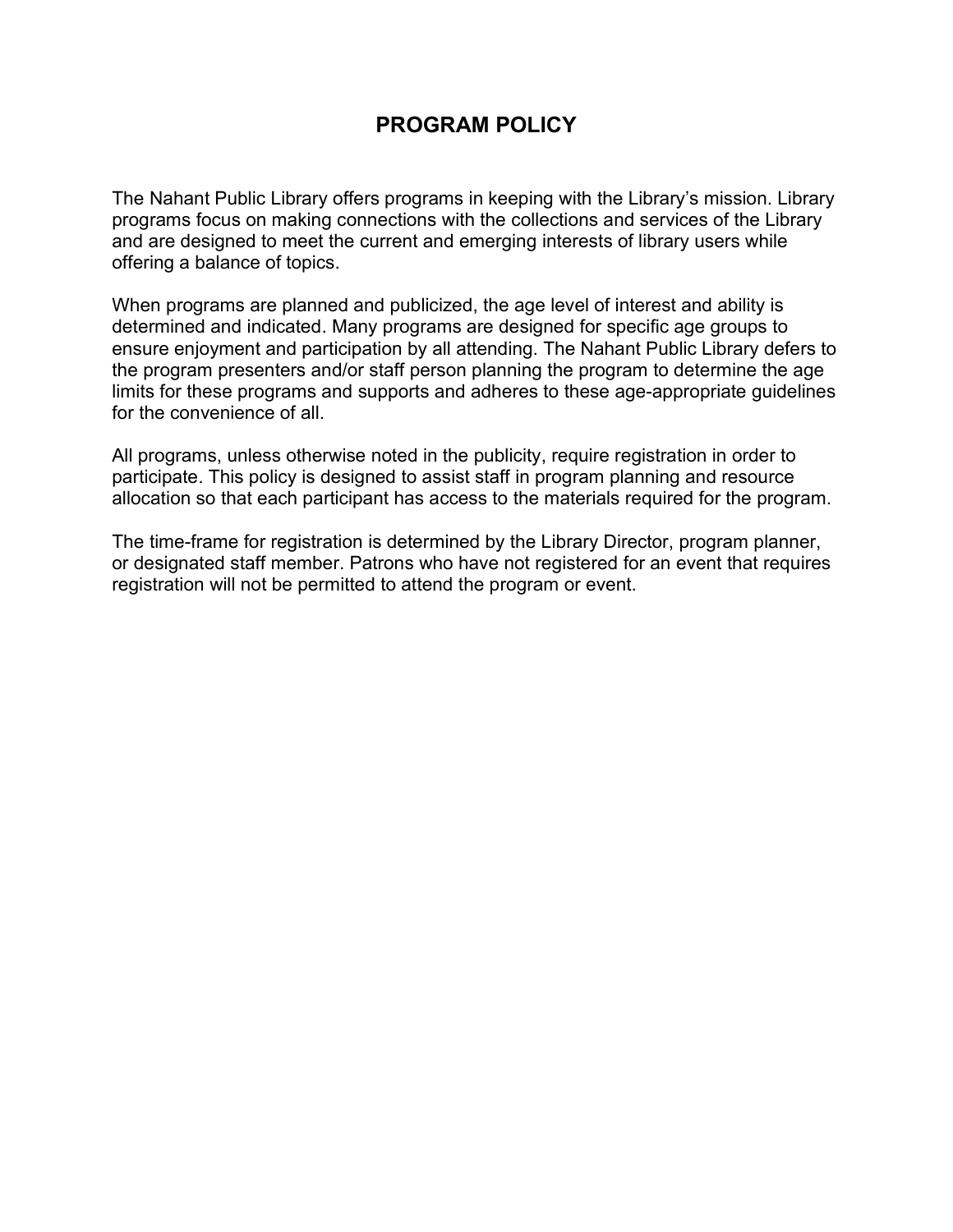#### PROGRAM POLICY

The Nahant Public Library offers programs in keeping with the Library's mission. Library programs focus on making connections with the collections and services of the Library and are designed to meet the current and emerging interests of library users while offering a balance of topics.

When programs are planned and publicized, the age level of interest and ability is determined and indicated. Many programs are designed for specific age groups to ensure enjoyment and participation by all attending. The Nahant Public Library defers to the program presenters and/or staff person planning the program to determine the age limits for these programs and supports and adheres to these age-appropriate guidelines for the convenience of all.

All programs, unless otherwise noted in the publicity, require registration in order to participate. This policy is designed to assist staff in program planning and resource allocation so that each participant has access to the materials required for the program.

The time-frame for registration is determined by the Library Director, program planner, or designated staff member. Patrons who have not registered for an event that requires registration will not be permitted to attend the program or event.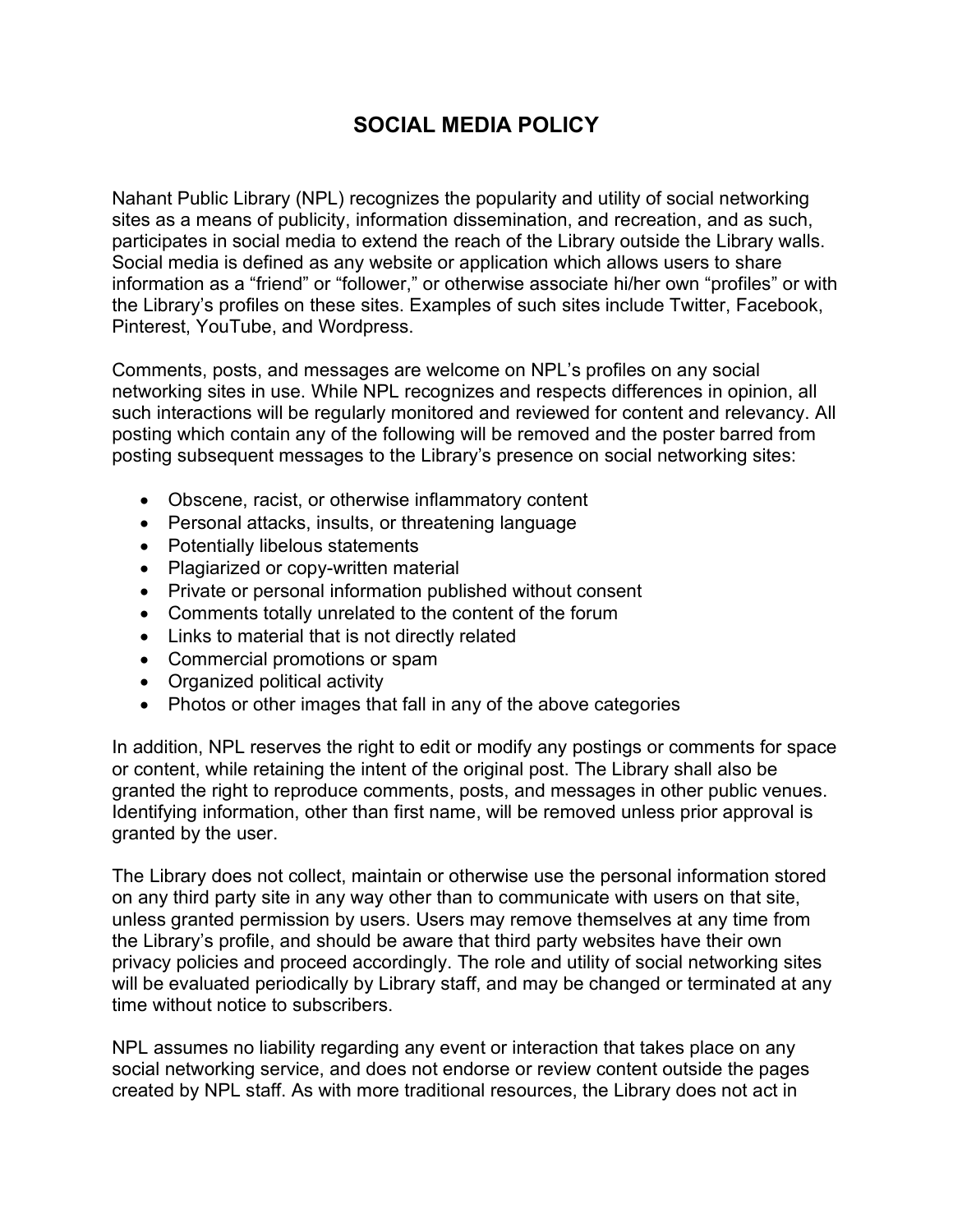### SOCIAL MEDIA POLICY

Nahant Public Library (NPL) recognizes the popularity and utility of social networking sites as a means of publicity, information dissemination, and recreation, and as such, participates in social media to extend the reach of the Library outside the Library walls. Social media is defined as any website or application which allows users to share information as a "friend" or "follower," or otherwise associate hi/her own "profiles" or with the Library's profiles on these sites. Examples of such sites include Twitter, Facebook, Pinterest, YouTube, and Wordpress.

Comments, posts, and messages are welcome on NPL's profiles on any social networking sites in use. While NPL recognizes and respects differences in opinion, all such interactions will be regularly monitored and reviewed for content and relevancy. All posting which contain any of the following will be removed and the poster barred from posting subsequent messages to the Library's presence on social networking sites:

- Obscene, racist, or otherwise inflammatory content
- Personal attacks, insults, or threatening language
- Potentially libelous statements
- Plagiarized or copy-written material
- Private or personal information published without consent
- Comments totally unrelated to the content of the forum
- Links to material that is not directly related
- Commercial promotions or spam
- Organized political activity
- Photos or other images that fall in any of the above categories

In addition, NPL reserves the right to edit or modify any postings or comments for space or content, while retaining the intent of the original post. The Library shall also be granted the right to reproduce comments, posts, and messages in other public venues. Identifying information, other than first name, will be removed unless prior approval is granted by the user.

The Library does not collect, maintain or otherwise use the personal information stored on any third party site in any way other than to communicate with users on that site, unless granted permission by users. Users may remove themselves at any time from the Library's profile, and should be aware that third party websites have their own privacy policies and proceed accordingly. The role and utility of social networking sites will be evaluated periodically by Library staff, and may be changed or terminated at any time without notice to subscribers.

NPL assumes no liability regarding any event or interaction that takes place on any social networking service, and does not endorse or review content outside the pages created by NPL staff. As with more traditional resources, the Library does not act in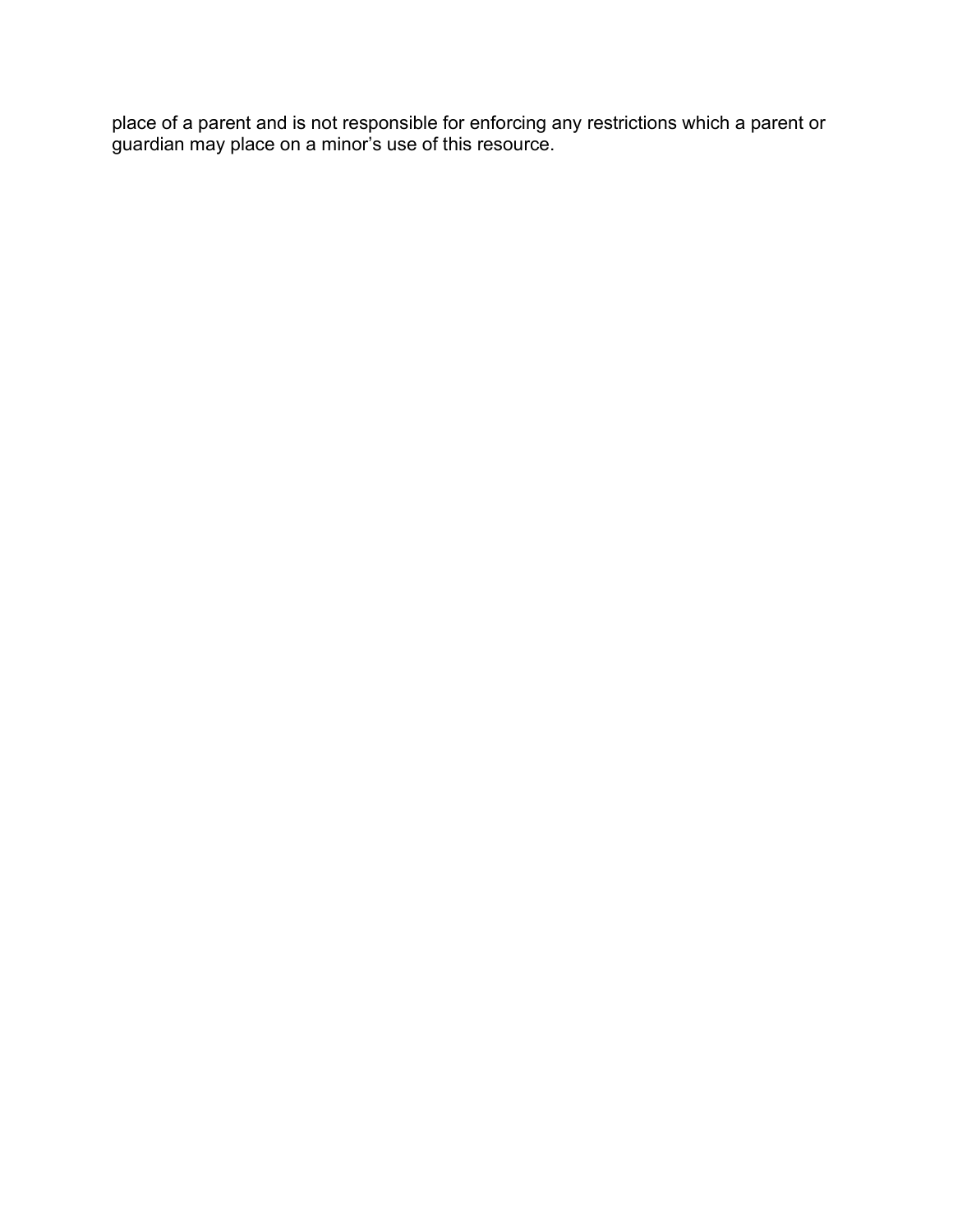place of a parent and is not responsible for enforcing any restrictions which a parent or guardian may place on a minor's use of this resource.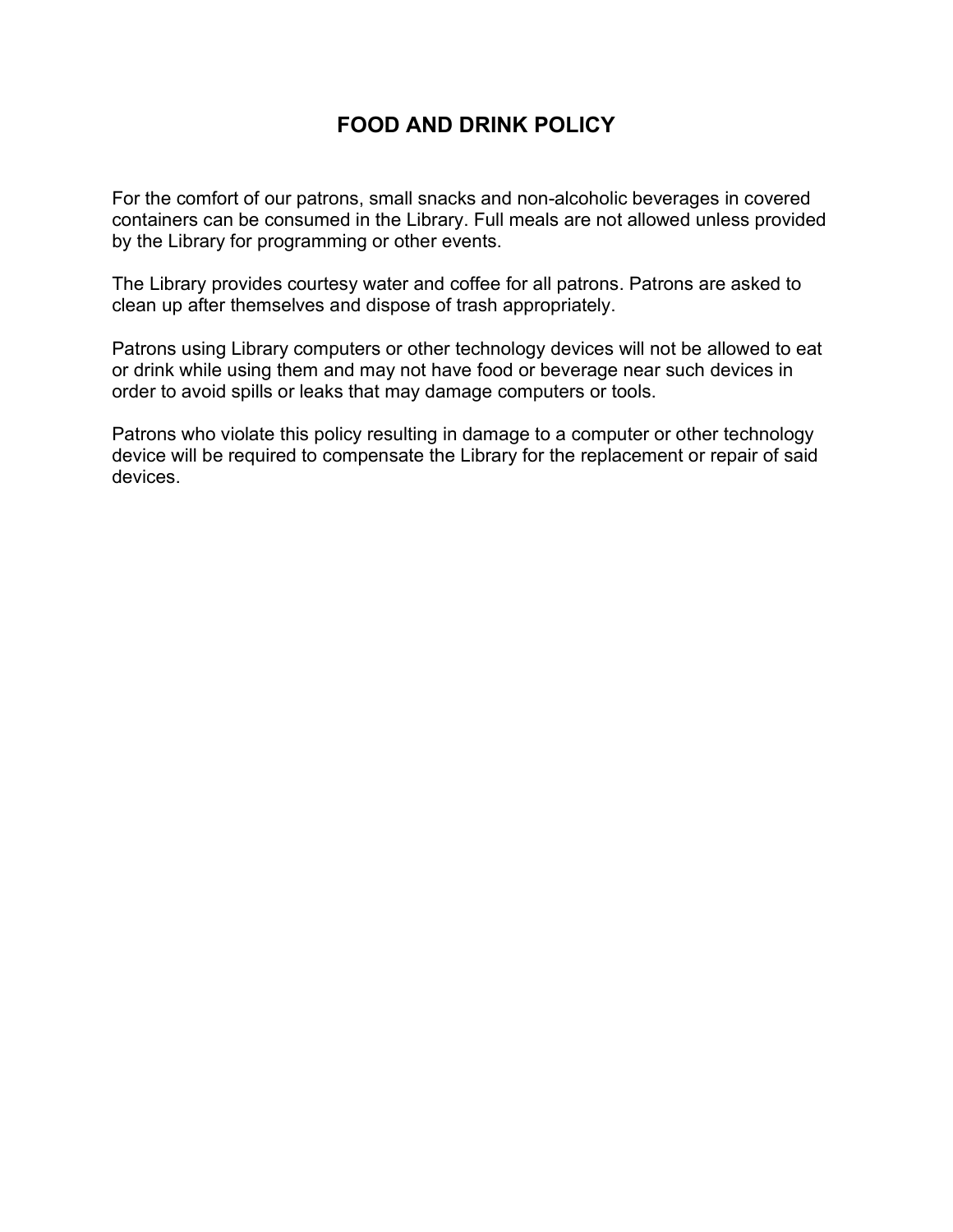### FOOD AND DRINK POLICY

For the comfort of our patrons, small snacks and non-alcoholic beverages in covered containers can be consumed in the Library. Full meals are not allowed unless provided by the Library for programming or other events.

The Library provides courtesy water and coffee for all patrons. Patrons are asked to clean up after themselves and dispose of trash appropriately.

Patrons using Library computers or other technology devices will not be allowed to eat or drink while using them and may not have food or beverage near such devices in order to avoid spills or leaks that may damage computers or tools.

Patrons who violate this policy resulting in damage to a computer or other technology device will be required to compensate the Library for the replacement or repair of said devices.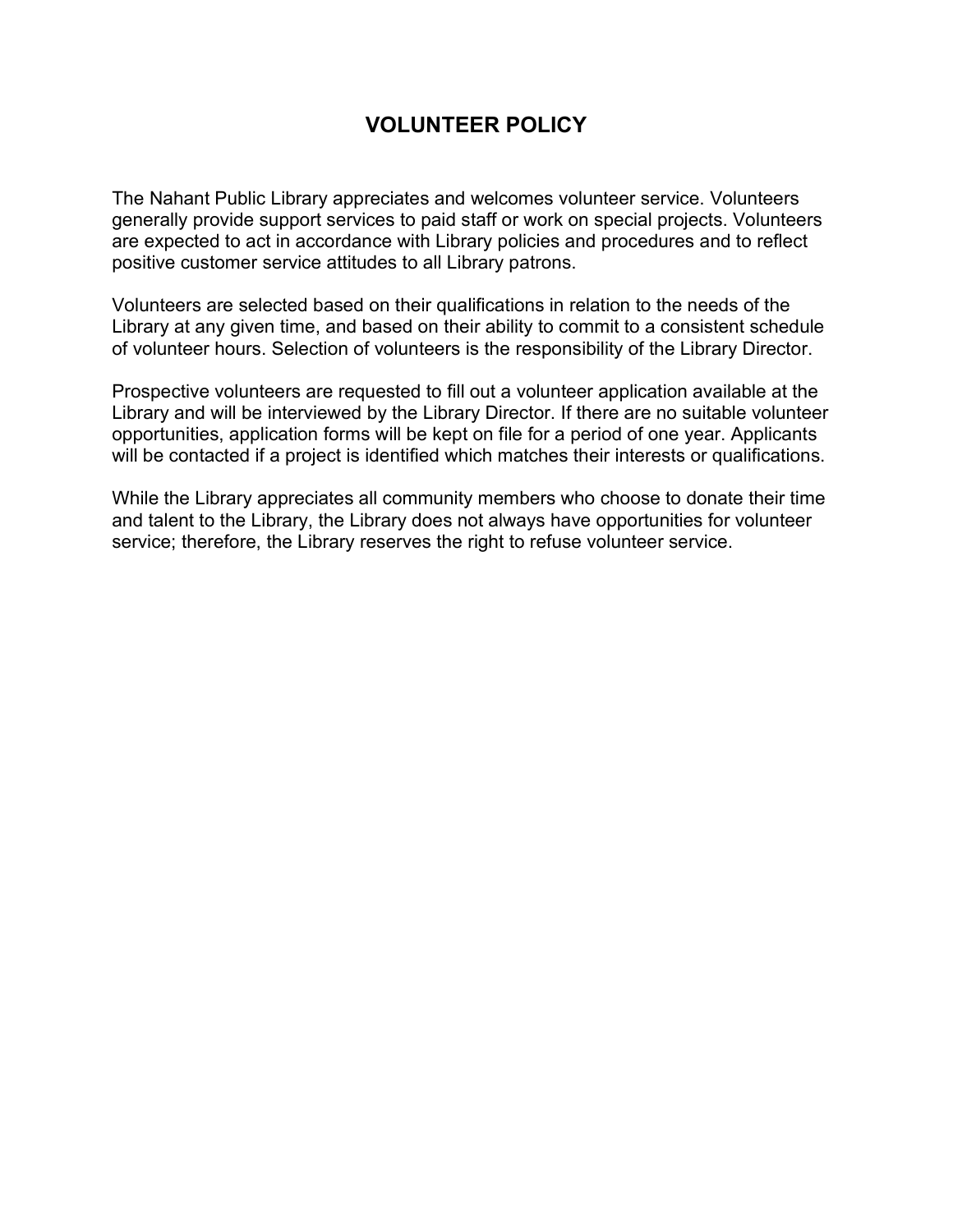### VOLUNTEER POLICY

The Nahant Public Library appreciates and welcomes volunteer service. Volunteers generally provide support services to paid staff or work on special projects. Volunteers are expected to act in accordance with Library policies and procedures and to reflect positive customer service attitudes to all Library patrons.

Volunteers are selected based on their qualifications in relation to the needs of the Library at any given time, and based on their ability to commit to a consistent schedule of volunteer hours. Selection of volunteers is the responsibility of the Library Director.

Prospective volunteers are requested to fill out a volunteer application available at the Library and will be interviewed by the Library Director. If there are no suitable volunteer opportunities, application forms will be kept on file for a period of one year. Applicants will be contacted if a project is identified which matches their interests or qualifications.

While the Library appreciates all community members who choose to donate their time and talent to the Library, the Library does not always have opportunities for volunteer service; therefore, the Library reserves the right to refuse volunteer service.